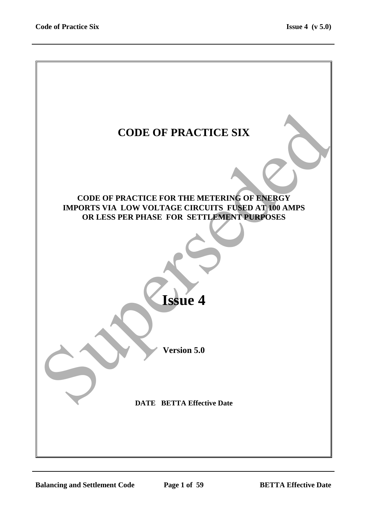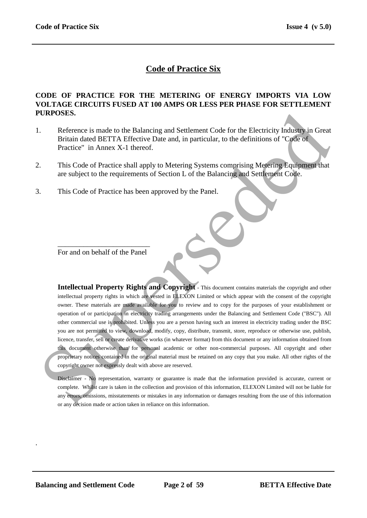# **Code of Practice Six**

#### **CODE OF PRACTICE FOR THE METERING OF ENERGY IMPORTS VIA LOW VOLTAGE CIRCUITS FUSED AT 100 AMPS OR LESS PER PHASE FOR SETTLEMENT PURPOSES.**

- 1. Reference is made to the Balancing and Settlement Code for the Electricity Industry in Great Britain dated BETTA Effective Date and, in particular, to the definitions of "Code of Practice" in Annex X-1 thereof.
- 2. This Code of Practice shall apply to Metering Systems comprising Metering Equipment that are subject to the requirements of Section L of the Balancing and Settlement Code.
- 3. This Code of Practice has been approved by the Panel.

\_\_\_\_\_\_\_\_\_\_\_\_\_\_\_\_\_\_\_\_\_\_\_\_\_ For and on behalf of the Panel

**Intellectual Property Rights and Copyright** - This document contains materials the copyright and other intellectual property rights in which are vested in ELEXON Limited or which appear with the consent of the copyright owner. These materials are made available for you to review and to copy for the purposes of your establishment or operation of or participation in electricity trading arrangements under the Balancing and Settlement Code ("BSC"). All other commercial use is prohibited. Unless you are a person having such an interest in electricity trading under the BSC you are not permitted to view, download, modify, copy, distribute, transmit, store, reproduce or otherwise use, publish, licence, transfer, sell or create derivative works (in whatever format) from this document or any information obtained from this document otherwise than for personal academic or other non-commercial purposes. All copyright and other proprietary notices contained in the original material must be retained on any copy that you make. All other rights of the copyright owner not expressly dealt with above are reserved. **CORPOSES.**<br>
Reference is made to the Balancing and Settlement Code for the Electricity Industry in Great<br>
Britain dated BETTA Effective Date and, in particular, to the definitions of "Code of<br>
Practice" in Amex X-1 thereo

Disclaimer - No representation, warranty or guarantee is made that the information provided is accurate, current or complete. Whilst care is taken in the collection and provision of this information, ELEXON Limited will not be liable for any errors, omissions, misstatements or mistakes in any information or damages resulting from the use of this information or any decision made or action taken in reliance on this information.

.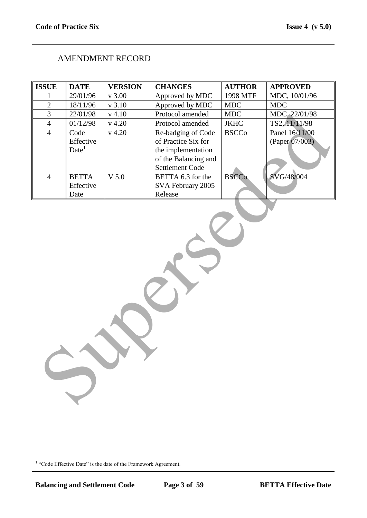# AMENDMENT RECORD

| <b>ISSUE</b>   | <b>DATE</b>       | <b>VERSION</b> | <b>CHANGES</b>         | <b>AUTHOR</b> | <b>APPROVED</b> |
|----------------|-------------------|----------------|------------------------|---------------|-----------------|
| 1              | 29/01/96          | v 3.00         | Approved by MDC        | 1998 MTF      | MDC, 10/01/96   |
| $\overline{c}$ | 18/11/96          | v 3.10         | Approved by MDC        | <b>MDC</b>    | <b>MDC</b>      |
| $\overline{3}$ | 22/01/98          | $v$ 4.10       | Protocol amended       | <b>MDC</b>    | MDC, 22/01/98   |
| $\overline{4}$ | 01/12/98          | $v$ 4.20       | Protocol amended       | <b>JKHC</b>   | TS2, 11/11/98   |
| $\overline{4}$ | Code              | $v$ 4.20       | Re-badging of Code     | <b>BSCCo</b>  | Panel 16/11/00  |
|                | Effective         |                | of Practice Six for    |               | (Paper 07/003)  |
|                | Date <sup>1</sup> |                | the implementation     |               |                 |
|                |                   |                | of the Balancing and   |               |                 |
|                |                   |                | <b>Settlement Code</b> |               |                 |
| $\overline{4}$ | <b>BETTA</b>      | $V$ 5.0        | BETTA 6.3 for the      | <b>BSCCo</b>  | SVG/48/004      |
|                | Effective         |                | SVA February 2005      |               |                 |
|                | Date              |                | Release                |               |                 |
|                |                   |                |                        |               |                 |

<sup>&</sup>lt;sup>1</sup> "Code Effective Date" is the date of the Framework Agreement.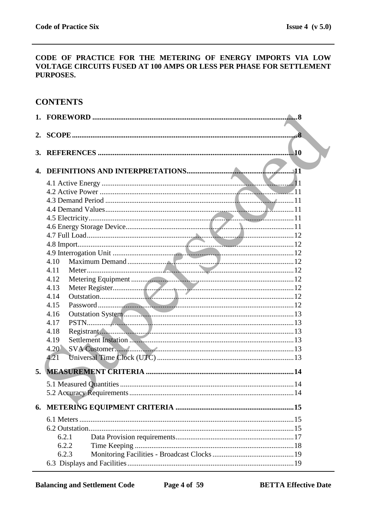#### CODE OF PRACTICE FOR THE METERING OF ENERGY IMPORTS VIA LOW VOLTAGE CIRCUITS FUSED AT 100 AMPS OR LESS PER PHASE FOR SETTLEMENT PURPOSES.

# **CONTENTS**

| 2. |       | $\overline{\mathbf{8}}$ |
|----|-------|-------------------------|
| 3. |       | .10                     |
|    |       |                         |
| 4. |       |                         |
|    |       |                         |
|    |       |                         |
|    |       |                         |
|    |       |                         |
|    |       |                         |
|    |       |                         |
|    |       |                         |
|    |       |                         |
|    |       |                         |
|    | 4.10  |                         |
|    | 4.11  |                         |
|    | 4.12  |                         |
|    | 4.13  |                         |
|    | 4.14  |                         |
|    | 4.15  |                         |
|    | 4.16  |                         |
|    | 4.17  |                         |
|    | 4.18  |                         |
|    | 4.19  |                         |
|    | 4.20  |                         |
|    | 4.21  |                         |
| 5. |       |                         |
|    |       |                         |
|    |       |                         |
|    |       |                         |
|    |       |                         |
|    |       |                         |
|    |       |                         |
|    | 6.2.1 |                         |
|    | 6.2.2 |                         |
|    | 6.2.3 |                         |
|    |       |                         |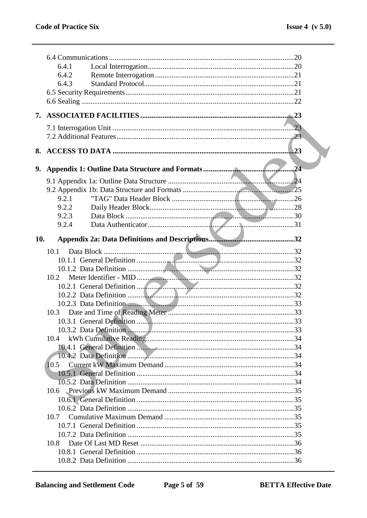|     | 6.4.1 |     |
|-----|-------|-----|
|     | 6.4.2 |     |
|     | 6.4.3 |     |
|     |       |     |
|     |       |     |
| 7.  |       |     |
|     |       | .23 |
|     |       |     |
| 8.  |       | .23 |
|     |       |     |
|     |       |     |
|     |       | .24 |
|     |       |     |
|     | 9.2.1 |     |
|     | 9.2.2 |     |
|     | 9.2.3 |     |
|     | 9.2.4 |     |
| 10. |       |     |
|     | 10.1  |     |
|     |       |     |
|     |       |     |
|     | 10.2  |     |
|     |       |     |
|     |       |     |
|     |       |     |
|     | 10.3  |     |
|     |       |     |
|     |       |     |
|     | 10.4  |     |
|     |       |     |
|     |       |     |
|     | 10.5  |     |
|     |       |     |
|     |       |     |
|     |       |     |
|     |       |     |
|     | 10.7  |     |
|     |       |     |
|     |       |     |
|     | 10.8  |     |
|     |       |     |
|     |       |     |
|     |       |     |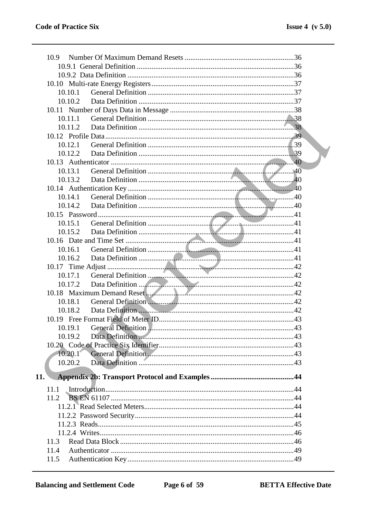| 10.9                                                                                                                                                                                                                                      |  |
|-------------------------------------------------------------------------------------------------------------------------------------------------------------------------------------------------------------------------------------------|--|
|                                                                                                                                                                                                                                           |  |
|                                                                                                                                                                                                                                           |  |
|                                                                                                                                                                                                                                           |  |
| 10.10.1                                                                                                                                                                                                                                   |  |
| 10.10.2                                                                                                                                                                                                                                   |  |
|                                                                                                                                                                                                                                           |  |
| 10.11.1                                                                                                                                                                                                                                   |  |
| 10.11.2                                                                                                                                                                                                                                   |  |
|                                                                                                                                                                                                                                           |  |
| 10.12.1                                                                                                                                                                                                                                   |  |
| 10.12.2                                                                                                                                                                                                                                   |  |
| 10.13.1                                                                                                                                                                                                                                   |  |
| 10.13.2                                                                                                                                                                                                                                   |  |
|                                                                                                                                                                                                                                           |  |
| 10.14.1                                                                                                                                                                                                                                   |  |
| 10.14.2                                                                                                                                                                                                                                   |  |
|                                                                                                                                                                                                                                           |  |
| 10.15.1                                                                                                                                                                                                                                   |  |
| 10.15.2                                                                                                                                                                                                                                   |  |
|                                                                                                                                                                                                                                           |  |
| 10.16.1                                                                                                                                                                                                                                   |  |
| 10.16.2                                                                                                                                                                                                                                   |  |
|                                                                                                                                                                                                                                           |  |
| 10.17.1                                                                                                                                                                                                                                   |  |
| 10.17.2                                                                                                                                                                                                                                   |  |
|                                                                                                                                                                                                                                           |  |
| 10.18.1                                                                                                                                                                                                                                   |  |
| Data Definition 2000 and 2000 and 2000 and 2000 and 2000 and 2000 and 2000 and 2000 and 2000 and 2000 and 2000 and 2000 and 2000 and 2000 and 2000 and 2000 and 2000 and 2000 and 2000 and 2000 and 2000 and 2000 and 2000 and<br>10.18.2 |  |
|                                                                                                                                                                                                                                           |  |
|                                                                                                                                                                                                                                           |  |
| 10.19.2                                                                                                                                                                                                                                   |  |
|                                                                                                                                                                                                                                           |  |
| 10.20.1                                                                                                                                                                                                                                   |  |
| 10.20.2                                                                                                                                                                                                                                   |  |
| 11.                                                                                                                                                                                                                                       |  |
| 11.1                                                                                                                                                                                                                                      |  |
| 11.2                                                                                                                                                                                                                                      |  |
|                                                                                                                                                                                                                                           |  |
|                                                                                                                                                                                                                                           |  |
|                                                                                                                                                                                                                                           |  |
|                                                                                                                                                                                                                                           |  |
| 11.3                                                                                                                                                                                                                                      |  |
| 11.4                                                                                                                                                                                                                                      |  |
| 11.5                                                                                                                                                                                                                                      |  |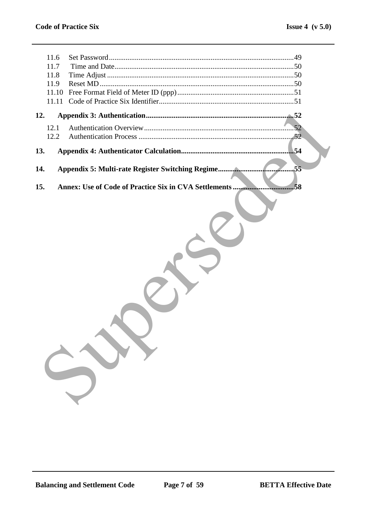| 11.6<br>11.7<br>11.8<br>11.9<br>11.10<br>11.11 |                                                             |
|------------------------------------------------|-------------------------------------------------------------|
| 12.                                            |                                                             |
| 12.1<br>12.2                                   | .52                                                         |
| 13.                                            | 54                                                          |
| 14.                                            | .55                                                         |
| 15.                                            | Annex: Use of Code of Practice Six in CVA Settlements<br>58 |
|                                                |                                                             |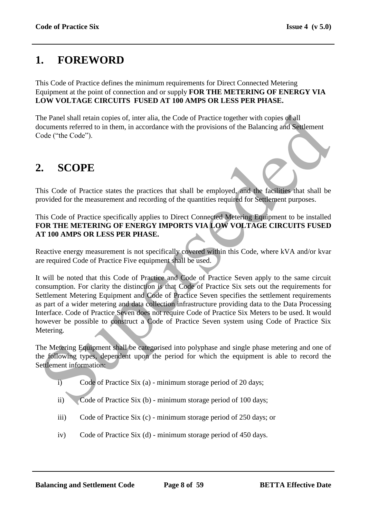# **1. FOREWORD**

This Code of Practice defines the minimum requirements for Direct Connected Metering Equipment at the point of connection and or supply **FOR THE METERING OF ENERGY VIA LOW VOLTAGE CIRCUITS FUSED AT 100 AMPS OR LESS PER PHASE.**

The Panel shall retain copies of, inter alia, the Code of Practice together with copies of all documents referred to in them, in accordance with the provisions of the Balancing and Settlement Code ("the Code").

# **2. SCOPE**

This Code of Practice states the practices that shall be employed, and the facilities that shall be provided for the measurement and recording of the quantities required for Settlement purposes.

This Code of Practice specifically applies to Direct Connected Metering Equipment to be installed **FOR THE METERING OF ENERGY IMPORTS VIA LOW VOLTAGE CIRCUITS FUSED AT 100 AMPS OR LESS PER PHASE.**

Reactive energy measurement is not specifically covered within this Code, where kVA and/or kvar are required Code of Practice Five equipment shall be used.

It will be noted that this Code of Practice and Code of Practice Seven apply to the same circuit consumption. For clarity the distinction is that Code of Practice Six sets out the requirements for Settlement Metering Equipment and Code of Practice Seven specifies the settlement requirements as part of a wider metering and data collection infrastructure providing data to the Data Processing Interface. Code of Practice Seven does not require Code of Practice Six Meters to be used. It would however be possible to construct a Code of Practice Seven system using Code of Practice Six Metering. The Panel shall retain copies of, inter alia, the Code of Practice together with copies of all<br>ocuments referred to in them, in accordance with the provisions of the Balancing and Settlement<br>of certification (Fig. Code of

The Metering Equipment shall be categorised into polyphase and single phase metering and one of the following types, dependent upon the period for which the equipment is able to record the Settlement information:

- i) Code of Practice Six (a) minimum storage period of 20 days;
- ii) Code of Practice Six (b) minimum storage period of 100 days;
- iii) Code of Practice Six (c) minimum storage period of 250 days; or
- iv) Code of Practice Six (d) minimum storage period of 450 days.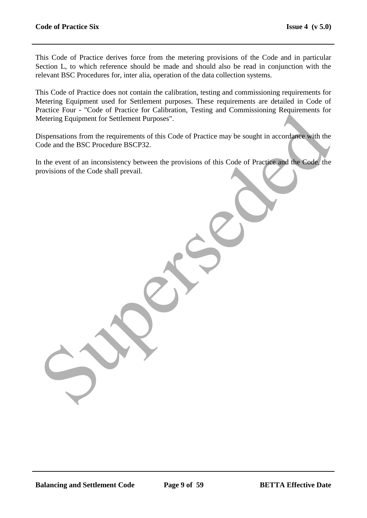This Code of Practice derives force from the metering provisions of the Code and in particular Section L, to which reference should be made and should also be read in conjunction with the relevant BSC Procedures for, inter alia, operation of the data collection systems.

This Code of Practice does not contain the calibration, testing and commissioning requirements for Metering Equipment used for Settlement purposes. These requirements are detailed in Code of Practice Four - "Code of Practice for Calibration, Testing and Commissioning Requirements for Metering Equipment for Settlement Purposes".

Dispensations from the requirements of this Code of Practice may be sought in accordance with the Code and the BSC Procedure BSCP32. Enter tour - Code on France Tor California. Testang and Commissioning Requirements for<br>detering Equipment for Settlement Purposes<sup>1</sup>.<br>Sispensations from the requirements of this Code of Practice may be sought in accordance

In the event of an inconsistency between the provisions of this Code of Practice and the Code, the provisions of the Code shall prevail.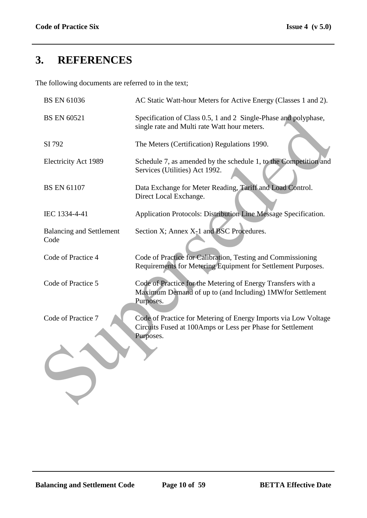# **3. REFERENCES**

The following documents are referred to in the text;

| <b>BS EN 61036</b>                      | AC Static Watt-hour Meters for Active Energy (Classes 1 and 2).                                                                            |
|-----------------------------------------|--------------------------------------------------------------------------------------------------------------------------------------------|
| <b>BS EN 60521</b>                      | Specification of Class 0.5, 1 and 2 Single-Phase and polyphase,<br>single rate and Multi rate Watt hour meters.                            |
| SI 792                                  | The Meters (Certification) Regulations 1990.                                                                                               |
| Electricity Act 1989                    | Schedule 7, as amended by the schedule 1, to the Competition and<br>Services (Utilities) Act 1992.                                         |
| <b>BS EN 61107</b>                      | Data Exchange for Meter Reading, Tariff and Load Control.<br>Direct Local Exchange.                                                        |
| IEC 1334-4-41                           | Application Protocols: Distribution Line Message Specification.                                                                            |
| <b>Balancing and Settlement</b><br>Code | Section X; Annex X-1 and BSC Procedures.                                                                                                   |
| Code of Practice 4                      | Code of Practice for Calibration, Testing and Commissioning<br>Requirements for Metering Equipment for Settlement Purposes.                |
| Code of Practice 5                      | Code of Practice for the Metering of Energy Transfers with a<br>Maximum Demand of up to (and Including) 1MWfor Settlement<br>Purposes.     |
| Code of Practice 7                      | Code of Practice for Metering of Energy Imports via Low Voltage<br>Circuits Fused at 100Amps or Less per Phase for Settlement<br>Purposes. |
|                                         |                                                                                                                                            |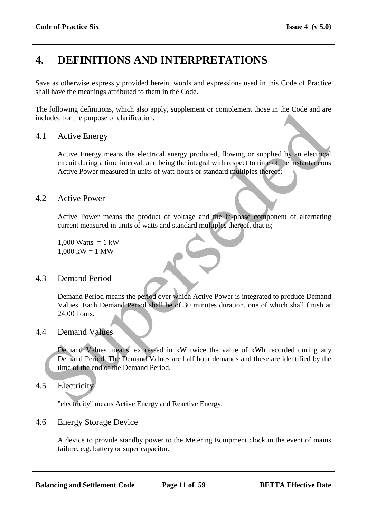# **4. DEFINITIONS AND INTERPRETATIONS**

Save as otherwise expressly provided herein, words and expressions used in this Code of Practice shall have the meanings attributed to them in the Code.

The following definitions, which also apply, supplement or complement those in the Code and are included for the purpose of clarification.

# 4.1 Active Energy

Active Energy means the electrical energy produced, flowing or supplied by an electrical circuit during a time interval, and being the integral with respect to time of the instantaneous Active Power measured in units of watt-hours or standard multiples thereof; The convention of the Demand Period Shall be of 30 minus duration,<br>
Supervisory of the purpose of clarification.<br>
The circle Energy means the electrical energy produced, flowing or supplied by an electrocal<br>
circuit durin

### 4.2 Active Power

Active Power means the product of voltage and the in-phase component of alternating current measured in units of watts and standard multiples thereof, that is;

1,000 Watts  $= 1$  kW  $1,000$  kW = 1 MW

# 4.3 Demand Period

Demand Period means the period over which Active Power is integrated to produce Demand Values. Each Demand Period shall be of 30 minutes duration, one of which shall finish at 24:00 hours.

### 4.4 Demand Values

Demand Values means, expressed in kW twice the value of kWh recorded during any Demand Period. The Demand Values are half hour demands and these are identified by the time of the end of the Demand Period.

# 4.5 Electricity

"electricity" means Active Energy and Reactive Energy.

### 4.6 Energy Storage Device

A device to provide standby power to the Metering Equipment clock in the event of mains failure. e.g. battery or super capacitor.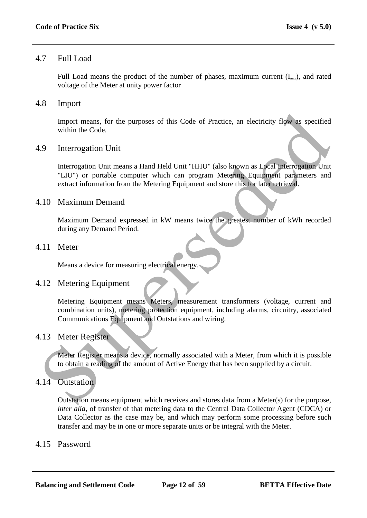### 4.7 Full Load

Full Load means the product of the number of phases, maximum current  $(I_{\text{max}})$ , and rated voltage of the Meter at unity power factor

### 4.8 Import

Import means, for the purposes of this Code of Practice, an electricity flow as specified within the Code.

### 4.9 Interrogation Unit

Interrogation Unit means a Hand Held Unit "HHU" (also known as Local Interrogation Unit "LIU") or portable computer which can program Metering Equipment parameters and extract information from the Metering Equipment and store this for later retrieval. mport means, for the purposes of this Code of Practice, an electricity flow as specified<br>within the Code.<br><br>9. Interrogation Unit<br>thermogation Unit<br>thermogation Unit<br>thermogation Unit<br>thermogation Unit<br>thermogation Unit<br>wit

### 4.10 Maximum Demand

Maximum Demand expressed in kW means twice the greatest number of kWh recorded during any Demand Period.

### 4.11 Meter

Means a device for measuring electrical energy.

# 4.12 Metering Equipment

Metering Equipment means Meters, measurement transformers (voltage, current and combination units), metering protection equipment, including alarms, circuitry, associated Communications Equipment and Outstations and wiring.

# 4.13 Meter Register

Meter Register means a device, normally associated with a Meter, from which it is possible to obtain a reading of the amount of Active Energy that has been supplied by a circuit.

# 4.14 Outstation

Outstation means equipment which receives and stores data from a Meter(s) for the purpose, *inter alia,* of transfer of that metering data to the Central Data Collector Agent (CDCA) or Data Collector as the case may be, and which may perform some processing before such transfer and may be in one or more separate units or be integral with the Meter.

### 4.15 Password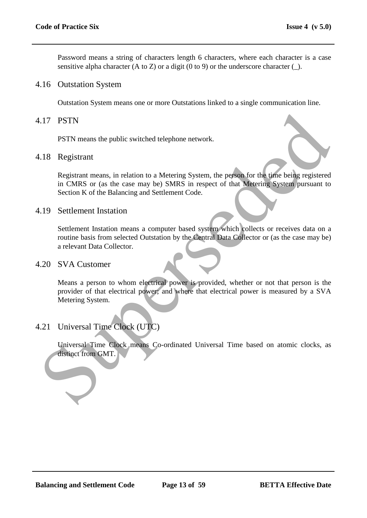Password means a string of characters length 6 characters, where each character is a case sensitive alpha character (A to Z) or a digit (0 to 9) or the underscore character  $(\_)$ .

#### 4.16 Outstation System

Outstation System means one or more Outstations linked to a single communication line.

#### 4.17 PSTN

PSTN means the public switched telephone network.

#### 4.18 Registrant

Registrant means, in relation to a Metering System, the person for the time being registered in CMRS or (as the case may be) SMRS in respect of that Metering System pursuant to Section K of the Balancing and Settlement Code. 17 PSTN<br>
PSTN means the public switched telephone network.<br>
18 Registrant<br>
Registrant means, in relation to a Metering System, the peson for the best<br>
registered<br>
in CMRS or (as the case may be) SMRS in respect of that Met

#### 4.19 Settlement Instation

Settlement Instation means a computer based system which collects or receives data on a routine basis from selected Outstation by the Central Data Collector or (as the case may be) a relevant Data Collector.

#### 4.20 SVA Customer

Means a person to whom electrical power is provided, whether or not that person is the provider of that electrical power; and where that electrical power is measured by a SVA Metering System.

# 4.21 Universal Time Clock (UTC)

Universal Time Clock means Co-ordinated Universal Time based on atomic clocks, as distinct from GMT.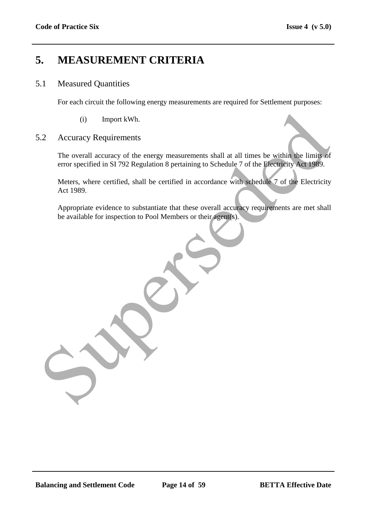# **5. MEASUREMENT CRITERIA**

#### 5.1 Measured Quantities

For each circuit the following energy measurements are required for Settlement purposes:

(i) Import kWh.

#### 5.2 Accuracy Requirements

The overall accuracy of the energy measurements shall at all times be within the limits of error specified in SI 792 Regulation 8 pertaining to Schedule 7 of the Electricity Act 1989. (i) Import kWh.<br>
2. Accuracy Requirements<br>
The overall accuracy of the energy measurements shall at all times be within the limits of<br>
error specified in SI 792 Regulation 8 pertaining to Schedule 7 of the Electricity<br>
Acc

Meters, where certified, shall be certified in accordance with schedule 7 of the Electricity Act 1989.

Appropriate evidence to substantiate that these overall accuracy requirements are met shall be available for inspection to Pool Members or their agent(s).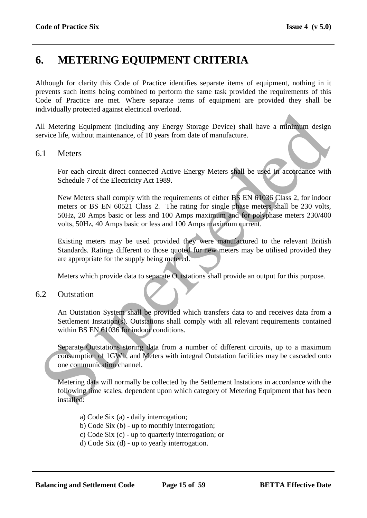# **6. METERING EQUIPMENT CRITERIA**

Although for clarity this Code of Practice identifies separate items of equipment, nothing in it prevents such items being combined to perform the same task provided the requirements of this Code of Practice are met. Where separate items of equipment are provided they shall be individually protected against electrical overload.

All Metering Equipment (including any Energy Storage Device) shall have a minimum design service life, without maintenance, of 10 years from date of manufacture.

### 6.1 Meters

For each circuit direct connected Active Energy Meters shall be used in accordance with Schedule 7 of the Electricity Act 1989.

New Meters shall comply with the requirements of either BS EN 61036 Class 2, for indoor meters or BS EN 60521 Class 2. The rating for single phase meters shall be 230 volts, 50Hz, 20 Amps basic or less and 100 Amps maximum and for polyphase meters 230/400 volts, 50Hz, 40 Amps basic or less and 100 Amps maximum current. Substituting Equipment (including any Energy Storage Device) shall have a minimum design<br>
Substitute Electric maintenance, of 10 years from date of manufacture.<br>
For each circuit direct connected Active Energy Meters shall

Existing meters may be used provided they were manufactured to the relevant British Standards. Ratings different to those quoted for new meters may be utilised provided they are appropriate for the supply being metered.

Meters which provide data to separate Outstations shall provide an output for this purpose.

#### 6.2 Outstation

An Outstation System shall be provided which transfers data to and receives data from a Settlement Instation(s). Outstations shall comply with all relevant requirements contained within BS EN 61036 for indoor conditions.

Separate Outstations storing data from a number of different circuits, up to a maximum consumption of 1GWh, and Meters with integral Outstation facilities may be cascaded onto one communication channel.

Metering data will normally be collected by the Settlement Instations in accordance with the following time scales, dependent upon which category of Metering Equipment that has been installed:

a) Code Six (a) - daily interrogation; b) Code Six (b) - up to monthly interrogation; c) Code Six (c) - up to quarterly interrogation; or d) Code Six (d) - up to yearly interrogation.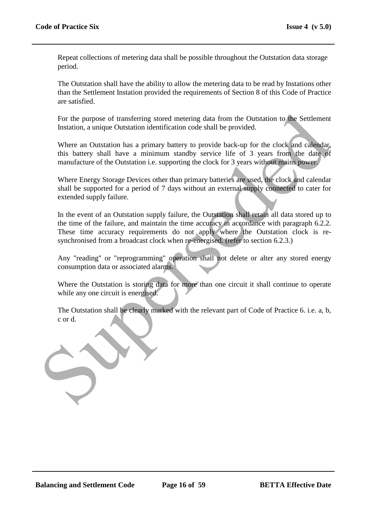Repeat collections of metering data shall be possible throughout the Outstation data storage period.

The Outstation shall have the ability to allow the metering data to be read by Instations other than the Settlement Instation provided the requirements of Section 8 of this Code of Practice are satisfied.

For the purpose of transferring stored metering data from the Outstation to the Settlement Instation, a unique Outstation identification code shall be provided.

Where an Outstation has a primary battery to provide back-up for the clock and calendar, this battery shall have a minimum standby service life of 3 years from the date of manufacture of the Outstation i.e. supporting the clock for 3 years without mains power.

Where Energy Storage Devices other than primary batteries are used, the clock and calendar shall be supported for a period of 7 days without an external supply connected to cater for extended supply failure.

In the event of an Outstation supply failure, the Outstation shall retain all data stored up to the time of the failure, and maintain the time accuracy in accordance with paragraph 6.2.2. These time accuracy requirements do not apply where the Outstation clock is resynchronised from a broadcast clock when re-energised. (refer to section 6.2.3.)

Any "reading" or "reprogramming" operation shall not delete or alter any stored energy consumption data or associated alarms.

Where the Outstation is storing data for more than one circuit it shall continue to operate while any one circuit is energised.

The Outstation shall be clearly marked with the relevant part of Code of Practice 6. i.e. a, b, c or d.

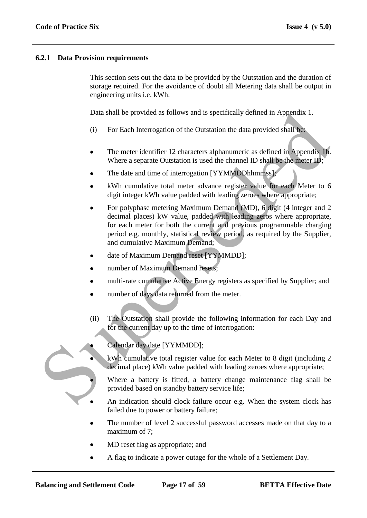#### **6.2.1 Data Provision requirements**

This section sets out the data to be provided by the Outstation and the duration of storage required. For the avoidance of doubt all Metering data shall be output in engineering units i.e. kWh.

Data shall be provided as follows and is specifically defined in Appendix 1.

- (i) For Each Interrogation of the Outstation the data provided shall be:
- The meter identifier 12 characters alphanumeric as defined in Appendix 1b. Where a separate Outstation is used the channel ID shall be the meter ID;
- The date and time of interrogation [YYMMDDhhmmss];
- kWh cumulative total meter advance register value for each Meter to 6 digit integer kWh value padded with leading zeroes where appropriate;
- For polyphase metering Maximum Demand (MD), 6 digit (4 integer and 2 decimal places) kW value, padded with leading zeros where appropriate, for each meter for both the current and previous programmable charging period e.g. monthly, statistical review period, as required by the Supplier, and cumulative Maximum Demand; Data shall be provided as follows and is specifically defined in Appendix 1.<br>
(i) For Each Interrogation of the Outstation the data provided shall be<br>
• The meter identifier 12 characters alphanumeric as defined in Append
	- date of Maximum Demand reset [YYMMDD];
	- number of Maximum Demand resets;
	- multi-rate cumulative Active Energy registers as specified by Supplier; and
	- number of days data returned from the meter.
	- (ii) The Outstation shall provide the following information for each Day and for the current day up to the time of interrogation:



- Calendar day date [YYMMDD];
- kWh cumulative total register value for each Meter to 8 digit (including 2 decimal place) kWh value padded with leading zeroes where appropriate;
- Where a battery is fitted, a battery change maintenance flag shall be provided based on standby battery service life;
- An indication should clock failure occur e.g. When the system clock has failed due to power or battery failure;
- The number of level 2 successful password accesses made on that day to a maximum of 7:
- MD reset flag as appropriate; and
- A flag to indicate a power outage for the whole of a Settlement Day.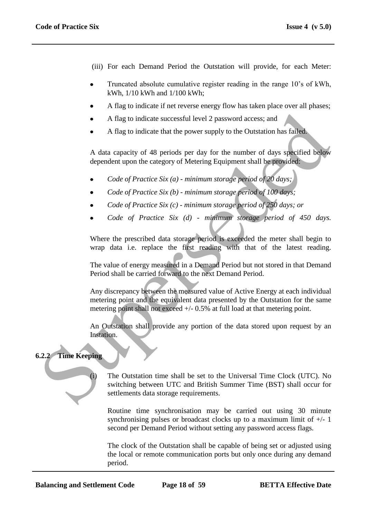- (iii) For each Demand Period the Outstation will provide, for each Meter:
- Truncated absolute cumulative register reading in the range 10"s of kWh, kWh, 1/10 kWh and 1/100 kWh;
- A flag to indicate if net reverse energy flow has taken place over all phases;
- A flag to indicate successful level 2 password access; and
- A flag to indicate that the power supply to the Outstation has failed.

A data capacity of 48 periods per day for the number of days specified below dependent upon the category of Metering Equipment shall be provided:

- *Code of Practice Six (a) - minimum storage period of 20 days;*
- *Code of Practice Six (b) - minimum storage period of 100 days;*
- *Code of Practice Six (c) - minimum storage period of 250 days; or*
- *Code of Practice Six (d) - minimum storage period of 450 days.*

Where the prescribed data storage period is exceeded the meter shall begin to wrap data i.e. replace the first reading with that of the latest reading.

The value of energy measured in a Demand Period but not stored in that Demand Period shall be carried forward to the next Demand Period.

Any discrepancy between the measured value of Active Energy at each individual metering point and the equivalent data presented by the Outstation for the same metering point shall not exceed  $+/- 0.5\%$  at full load at that metering point. A flag to indicate successful level 2 password access; and<br>
A flag to indicate that the power supply to the Outstation has failed<br>
A data capacity of 48 periods per day for the number of days specified below<br>
dependent up

An Outstation shall provide any portion of the data stored upon request by an Instation.

#### **6.2.2 Time Keeping**

The Outstation time shall be set to the Universal Time Clock (UTC). No switching between UTC and British Summer Time (BST) shall occur for settlements data storage requirements.

Routine time synchronisation may be carried out using 30 minute synchronising pulses or broadcast clocks up to a maximum limit of  $+/-1$ second per Demand Period without setting any password access flags.

The clock of the Outstation shall be capable of being set or adjusted using the local or remote communication ports but only once during any demand period.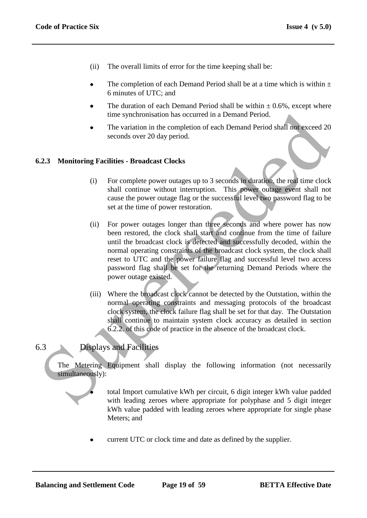- (ii) The overall limits of error for the time keeping shall be:
- The completion of each Demand Period shall be at a time which is within  $\pm$ 6 minutes of UTC; and
- The duration of each Demand Period shall be within  $\pm$  0.6%, except where time synchronisation has occurred in a Demand Period.
- The variation in the completion of each Demand Period shall not exceed 20 seconds over 20 day period.

#### **6.2.3 Monitoring Facilities - Broadcast Clocks**

- (i) For complete power outages up to 3 seconds in duration, the real time clock shall continue without interruption. This power outage event shall not cause the power outage flag or the successful level two password flag to be set at the time of power restoration.
- (ii) For power outages longer than three seconds and where power has now been restored, the clock shall start and continue from the time of failure until the broadcast clock is detected and successfully decoded, within the normal operating constraints of the broadcast clock system, the clock shall reset to UTC and the power failure flag and successful level two access password flag shall be set for the returning Demand Periods where the power outage existed. time synchronisation has occurred in a Demand Period.<br>
The variation in the completion of each Demand Period shall not exceed 20<br>
Seconds over 20 day period.<br>
2.3 Monitoring Facilities - Broadcast Clocks<br>
(i) For complete
	- (iii) Where the broadcast clock cannot be detected by the Outstation, within the normal operating constraints and messaging protocols of the broadcast clock system, the clock failure flag shall be set for that day. The Outstation shall continue to maintain system clock accuracy as detailed in section 6.2.2. of this code of practice in the absence of the broadcast clock.

# 6.3 Displays and Facilities

The Metering Equipment shall display the following information (not necessarily simultaneously):

> total Import cumulative kWh per circuit, 6 digit integer kWh value padded with leading zeroes where appropriate for polyphase and 5 digit integer kWh value padded with leading zeroes where appropriate for single phase Meters; and

current UTC or clock time and date as defined by the supplier.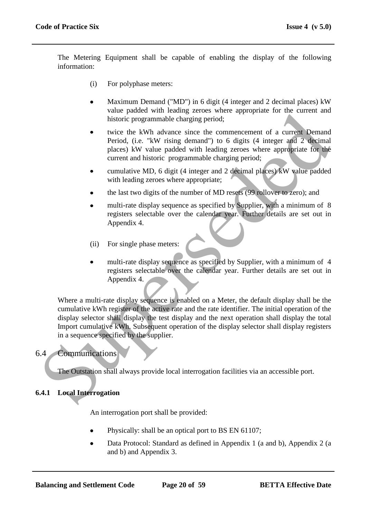The Metering Equipment shall be capable of enabling the display of the following information:

- (i) For polyphase meters:
- Maximum Demand ("MD") in 6 digit (4 integer and 2 decimal places) kW  $\bullet$ value padded with leading zeroes where appropriate for the current and historic programmable charging period;
- twice the kWh advance since the commencement of a current Demand Period, (i.e. "kW rising demand") to 6 digits (4 integer and 2 decimal places) kW value padded with leading zeroes where appropriate for the current and historic programmable charging period;
- cumulative MD, 6 digit (4 integer and 2 decimal places) kW value padded with leading zeroes where appropriate;
- the last two digits of the number of MD resets (99 rollover to zero); and
- multi-rate display sequence as specified by Supplier, with a minimum of 8 registers selectable over the calendar year. Further details are set out in Appendix 4.
- (ii) For single phase meters:
- multi-rate display sequence as specified by Supplier, with a minimum of 4 registers selectable over the calendar year. Further details are set out in Appendix 4.

Where a multi-rate display sequence is enabled on a Meter, the default display shall be the cumulative kWh register of the active rate and the rate identifier. The initial operation of the display selector shall display the test display and the next operation shall display the total Import cumulative kWh. Subsequent operation of the display selector shall display registers in a sequence specified by the supplier. Value place to the content incomparation of the display selection and the content into the content of a current window phase in the two resines the commencement of a current Demand places) KW value padded with leading zero

### 6.4 Communications

The Outstation shall always provide local interrogation facilities via an accessible port.

### **6.4.1 Local Interrogation**

An interrogation port shall be provided:

- Physically: shall be an optical port to BS EN 61107;
- Data Protocol: Standard as defined in Appendix 1 (a and b), Appendix 2 (a and b) and Appendix 3.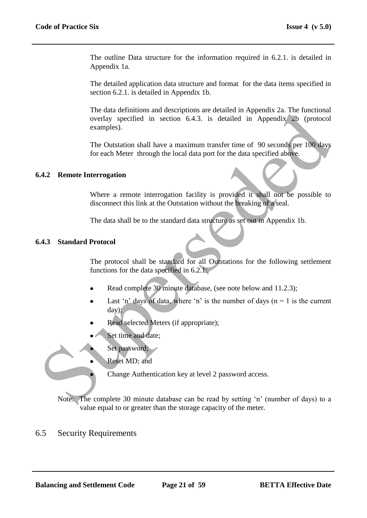The outline Data structure for the information required in 6.2.1. is detailed in Appendix 1a.

The detailed application data structure and format for the data items specified in section 6.2.1. is detailed in Appendix 1b.

The data definitions and descriptions are detailed in Appendix 2a. The functional overlay specified in section 6.4.3. is detailed in Appendix 2b (protocol examples). The tast definitions and uses triplematic methods are denoted in section of 4.3. is detailed in Appendix 2th (protocol<br>examples).<br>The Outstation shall have a maximum transfer time of 90 seconds per 100 days<br>for each Meter

The Outstation shall have a maximum transfer time of 90 seconds per 100 days for each Meter through the local data port for the data specified above.

#### **6.4.2 Remote Interrogation**

Where a remote interrogation facility is provided it shall not be possible to disconnect this link at the Outstation without the breaking of a seal.

The data shall be to the standard data structure as set out in Appendix 1b.

#### **6.4.3 Standard Protocol**

The protocol shall be standard for all Outstations for the following settlement functions for the data specified in 6.2.1:

- Read complete 30 minute database, (see note below and 11.2.3);
- Last 'n' days of data, where 'n' is the number of days ( $n = 1$  is the current day);
- Read selected Meters (if appropriate);
- Set time and date;
- Set password;
- Reset MD; and

Change Authentication key at level 2 password access.

Note: The complete 30 minute database can be read by setting "n" (number of days) to a value equal to or greater than the storage capacity of the meter.

### 6.5 Security Requirements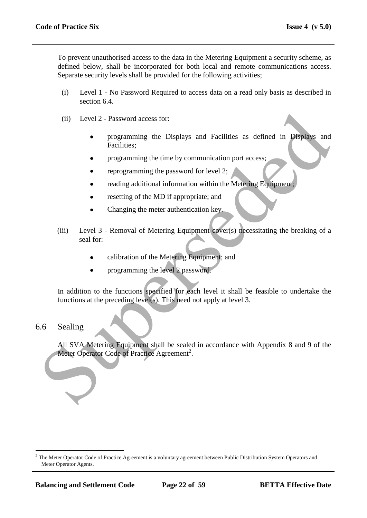To prevent unauthorised access to the data in the Metering Equipment a security scheme, as defined below, shall be incorporated for both local and remote communications access. Separate security levels shall be provided for the following activities;

- (i) Level 1 No Password Required to access data on a read only basis as described in section 6.4.
- (ii) Level 2 Password access for:
	- programming the Displays and Facilities as defined in Displays and Facilities;
	- programming the time by communication port access;
	- reprogramming the password for level 2;
	- reading additional information within the Metering Equipment;
	- resetting of the MD if appropriate; and
	- Changing the meter authentication key.
- (iii) Level 3 Removal of Metering Equipment cover(s) necessitating the breaking of a seal for: (ii) Level 2 - Password access for:<br>
• programming the Displays and Facilities as defined in Displays and<br>
Facilities;<br>
• programming the time by communication port access:<br>
• reprogramming the password for level 2:<br>
• rea
	- calibration of the Metering Equipment; and
	- programming the level 2 password.

In addition to the functions specified for each level it shall be feasible to undertake the functions at the preceding level(s). This need not apply at level 3.

### 6.6 Sealing

 $\overline{a}$ 

All SVA Metering Equipment shall be sealed in accordance with Appendix 8 and 9 of the Meter Operator Code of Practice Agreement<sup>2</sup>.

 $<sup>2</sup>$  The Meter Operator Code of Practice Agreement is a voluntary agreement between Public Distribution System Operators and</sup> Meter Operator Agents.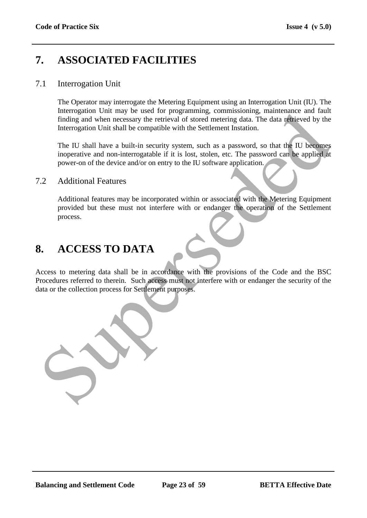# **7. ASSOCIATED FACILITIES**

### 7.1 Interrogation Unit

The Operator may interrogate the Metering Equipment using an Interrogation Unit (IU). The Interrogation Unit may be used for programming*,* commissioning, maintenance and fault finding and when necessary the retrieval of stored metering data. The data retrieved by the Interrogation Unit shall be compatible with the Settlement Instation.

The IU shall have a built-in security system, such as a password, so that the IU becomes inoperative and non-interrogatable if it is lost, stolen, etc. The password can be applied at power-on of the device and/or on entry to the IU software application.

#### 7.2 Additional Features

Additional features may be incorporated within or associated with the Metering Equipment provided but these must not interfere with or endanger the operation of the Settlement process.

# **8. ACCESS TO DATA**

Access to metering data shall be in accordance with the provisions of the Code and the BSC Procedures referred to therein. Such access must not interfere with or endanger the security of the data or the collection process for Settlement purposes. meroganon om may el astead of stored methods. The data of the strength inding and when necessary the retrieval of stored metering data. The data of the velocity the interrogation Unit shall he compatible with the Settlemen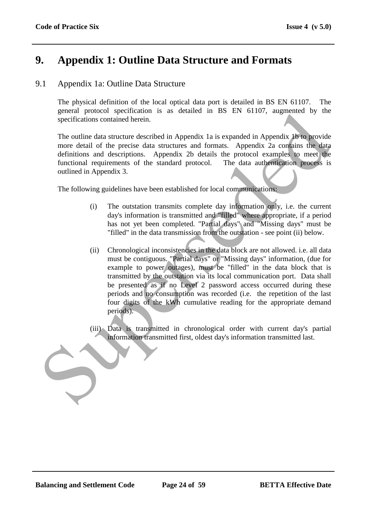# **9. Appendix 1: Outline Data Structure and Formats**

## 9.1 Appendix 1a: Outline Data Structure

The physical definition of the local optical data port is detailed in BS EN 61107. The general protocol specification is as detailed in BS EN 61107, augmented by the specifications contained herein.

The outline data structure described in Appendix 1a is expanded in Appendix 1b to provide more detail of the precise data structures and formats. Appendix 2a contains the data definitions and descriptions. Appendix 2b details the protocol examples to meet the functional requirements of the standard protocol. The data authentication process is outlined in Appendix 3.

The following guidelines have been established for local communications:

- (i) The outstation transmits complete day information only, i.e. the current day's information is transmitted and "filled" where appropriate, if a period has not yet been completed. "Partial days" and "Missing days" must be "filled" in the data transmission from the outstation - see point (ii) below.
- (ii) Chronological inconsistencies in the data block are not allowed. i.e. all data must be contiguous. "Partial days" or "Missing days" information, (due for example to power outages), must be "filled" in the data block that is transmitted by the outstation via its local communication port. Data shall be presented as if no Level 2 password access occurred during these periods and no consumption was recorded (i.e. the repetition of the last four digits of the kWh cumulative reading for the appropriate demand periods). general processor specifications contained herein.<br>
Specifications contained herein.<br>
The outline data structure described in Appendix I a is expanded in Appendix. Uro provide<br>
more detail of the precise dust structures an
	- (iii) Data is transmitted in chronological order with current day's partial information transmitted first, oldest day's information transmitted last.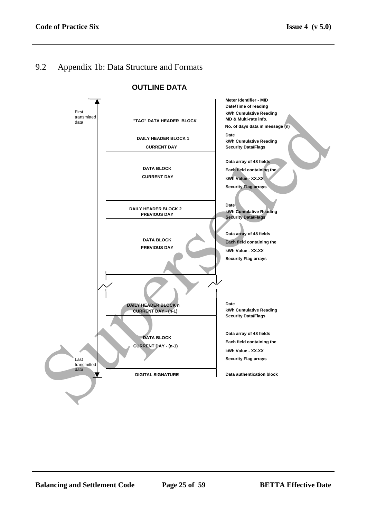# 9.2 Appendix 1b: Data Structure and Formats



#### **OUTLINE DATA**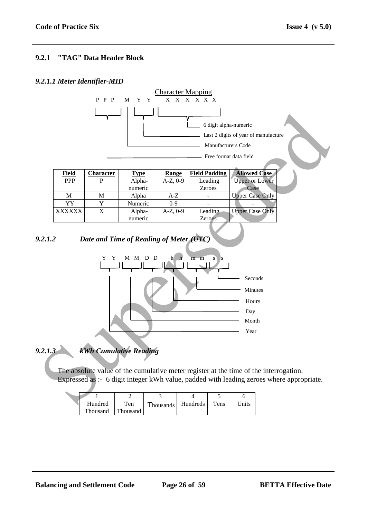#### **9.2.1 "TAG" Data Header Block**

#### *9.2.1.1 Meter Identifier-MID*



| Field         | <b>Character</b> | Type    | <b>Range</b>  | <b>Field Padding</b> | <b>Allowed Case</b>    |
|---------------|------------------|---------|---------------|----------------------|------------------------|
| <b>PPP</b>    |                  | Alpha-  | $A-Z, 0-9$    | Leading              | <b>Upper or Lower</b>  |
|               |                  | numeric |               | <b>Zeroes</b>        | Case                   |
| M             | М                | Alpha   | A-Z           |                      | <b>Upper Case Only</b> |
| YY            |                  | Numeric | $0-9$         |                      |                        |
| <b>XXXXXX</b> | X                | Alpha-  | $A-Z$ , $0-9$ | Leading              | <b>Upper Case Only</b> |
|               |                  | numeric |               | Zeroes               |                        |

#### *9.2.1.2 Date and Time of Reading of Meter (UTC)*



*9.2.1.3 kWh Cumulative Reading*

The absolute value of the cumulative meter register at the time of the interrogation. Expressed as :- 6 digit integer kWh value, padded with leading zeroes where appropriate.

| Hundred  | Ten      | <b>Thousands</b> | Hundreds | Tens | Jnits |
|----------|----------|------------------|----------|------|-------|
| Thousand | Thousand |                  |          |      |       |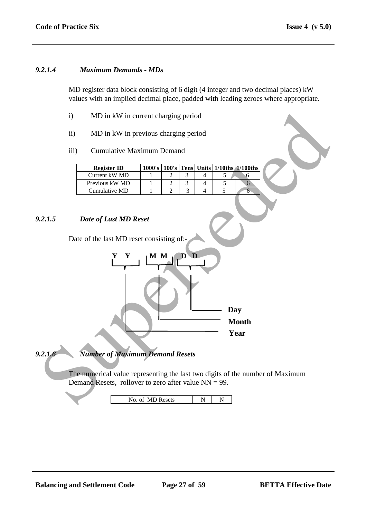#### *9.2.1.4 Maximum Demands - MDs*

MD register data block consisting of 6 digit (4 integer and two decimal places) kW values with an implied decimal place, padded with leading zeroes where appropriate.

- i) MD in kW in current charging period
- ii) MD in kW in previous charging period
- iii) Cumulative Maximum Demand

| <b>Register ID</b> | 1000's |  |  | $100$ 's Tens Units $1/10$ ths $1/100$ ths |
|--------------------|--------|--|--|--------------------------------------------|
| Current kW MD      |        |  |  |                                            |
| Previous kW MD     |        |  |  |                                            |
| Cumulative MD      |        |  |  |                                            |

#### *9.2.1.5 Date of Last MD Reset*

Date of the last MD reset consisting of:-



*9.2.1.6 Number of Maximum Demand Resets*

The numerical value representing the last two digits of the number of Maximum Demand Resets, rollover to zero after value  $NN = 99$ .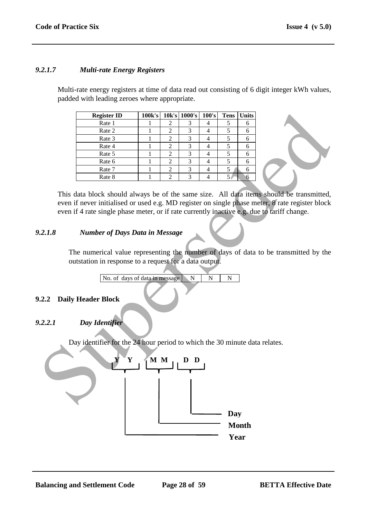#### *9.2.1.7 Multi-rate Energy Registers*

Multi-rate energy registers at time of data read out consisting of 6 digit integer kWh values, padded with leading zeroes where appropriate.

| <b>Register ID</b> | 100k's |   | 10k's 1000's | 100's | <b>Tens</b> | <b>Units</b> |
|--------------------|--------|---|--------------|-------|-------------|--------------|
| Rate 1             |        |   |              |       |             |              |
| Rate 2             |        |   |              |       |             |              |
| Rate 3             |        |   |              |       |             |              |
| Rate 4             |        |   |              |       |             |              |
| Rate 5             |        |   | 3            |       |             |              |
| Rate 6             |        |   | 3            |       |             |              |
| Rate 7             |        |   | 3            |       |             |              |
| Rate 8             |        | ◠ | 3            |       |             |              |

This data block should always be of the same size. All data items should be transmitted, even if never initialised or used e.g. MD register on single phase meter, 8 rate register block even if 4 rate single phase meter, or if rate currently inactive e.g. due to tariff change.

#### *9.2.1.8 Number of Days Data in Message*

The numerical value representing the number of days of data to be transmitted by the outstation in response to a request for a data output.

No. of days of data in message N N N

#### **9.2.2 Daily Header Block**

#### *9.2.2.1 Day Identifier*

Day identifier for the 24 hour period to which the 30 minute data relates.

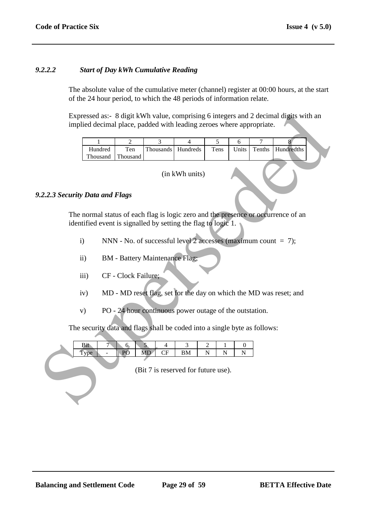#### *9.2.2.2 Start of Day kWh Cumulative Reading*

The absolute value of the cumulative meter (channel) register at 00:00 hours, at the start of the 24 hour period, to which the 48 periods of information relate.

| implied decimal place, padded with leading zeroes where appropriate.      |                      |                                       |                                                                     |                                         |                |        | Expressed as:- 8 digit kWh value, comprising 6 integers and 2 decimal digits with an |  |
|---------------------------------------------------------------------------|----------------------|---------------------------------------|---------------------------------------------------------------------|-----------------------------------------|----------------|--------|--------------------------------------------------------------------------------------|--|
| 1                                                                         | $\overline{2}$       | $\overline{3}$                        | $\overline{4}$                                                      | $\overline{5}$                          | 6              | 7      | 8                                                                                    |  |
| Hundred<br>Thousand                                                       | Ten<br>Thousand      | Thousands                             | Hundreds                                                            | Tens                                    | Units          | Tenths | Hundredths                                                                           |  |
| (in kWh units)<br>.2.2.3 Security Data and Flags                          |                      |                                       |                                                                     |                                         |                |        |                                                                                      |  |
|                                                                           |                      |                                       |                                                                     |                                         |                |        |                                                                                      |  |
| identified event is signalled by setting the flag to logic 1.             |                      |                                       |                                                                     |                                         |                |        | The normal status of each flag is logic zero and the presence or occurrence of an    |  |
| $\mathbf{i}$                                                              |                      |                                       | NNN - No. of successful level 2 accesses (maximum count $= 7$ );    |                                         |                |        |                                                                                      |  |
| $\ddot{i}$                                                                |                      | <b>BM</b> - Battery Maintenance Flag; |                                                                     |                                         |                |        |                                                                                      |  |
| iii)                                                                      | CF - Clock Failure;  |                                       |                                                                     |                                         |                |        |                                                                                      |  |
| iv)                                                                       |                      |                                       |                                                                     |                                         |                |        | MD - MD reset flag, set for the day on which the MD was reset; and                   |  |
| V)                                                                        |                      |                                       | PO - 24 hour continuous power outage of the outstation.             |                                         |                |        |                                                                                      |  |
| The security data and flags shall be coded into a single byte as follows: |                      |                                       |                                                                     |                                         |                |        |                                                                                      |  |
| Bit<br>7<br>Type<br>$\overline{\phantom{a}}$                              | 6 <sub>o</sub><br>PO | 5<br>4<br><b>MD</b><br>CF             | $\mathfrak{Z}$<br>${\bf BM}$<br>(Bit 7 is reserved for future use). | 2<br>1<br>$\overline{N}$<br>$\mathbf N$ | 0<br>${\bf N}$ |        |                                                                                      |  |
|                                                                           |                      |                                       |                                                                     |                                         |                |        |                                                                                      |  |

#### *9.2.2.3 Security Data and Flags*

- i) NNN No. of successful level 2 accesses (maximum count  $= 7$ );
- ii) BM Battery Maintenance Flag;
- iii) CF Clock Failure;
- iv) MD MD reset flag, set for the day on which the MD was reset; and
- v) PO 24 hour continuous power outage of the outstation.

|  |   | ິ |      |        |            |  |  |
|--|---|---|------|--------|------------|--|--|
|  | - |   | **** | -<br>ິ | <b>TAT</b> |  |  |
|  |   |   |      |        |            |  |  |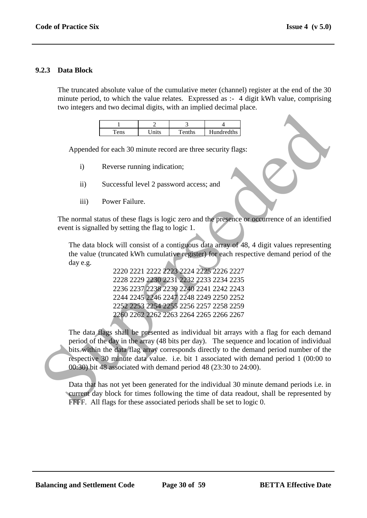#### **9.2.3 Data Block**

The truncated absolute value of the cumulative meter (channel) register at the end of the 30 minute period, to which the value relates. Expressed as :- 4 digit kWh value, comprising two integers and two decimal digits, with an implied decimal place.

| ≏ | $\cdots$ | $T_{\alpha}$ nthe | Hundredths |
|---|----------|-------------------|------------|

Appended for each 30 minute record are three security flags:

- i) Reverse running indication;
- ii) Successful level 2 password access; and
- iii) Power Failure.

The normal status of these flags is logic zero and the presence or occurrence of an identified event is signalled by setting the flag to logic 1.

The data block will consist of a contiguous data array of 48, 4 digit values representing the value (truncated kWh cumulative register) for each respective demand period of the day e.g.

> 2220 2221 2222 2223 2224 2225 2226 2227 2228 2229 2230 2231 2232 2233 2234 2235 2236 2237 2238 2239 2240 2241 2242 2243 2244 2245 2246 2247 2248 2249 2250 2252 2252 2253 2254 2255 2256 2257 2258 2259 2260 2262 2262 2263 2264 2265 2266 2267

The data flags shall be presented as individual bit arrays with a flag for each demand period of the day in the array (48 bits per day). The sequence and location of individual bits within the data flag array corresponds directly to the demand period number of the respective 30 minute data value. i.e. bit 1 associated with demand period 1 (00:00 to 00:30) bit 48 associated with demand period 48 (23:30 to 24:00). Superseded

Data that has not yet been generated for the individual 30 minute demand periods i.e. in current day block for times following the time of data readout, shall be represented by FFFF. All flags for these associated periods shall be set to logic 0.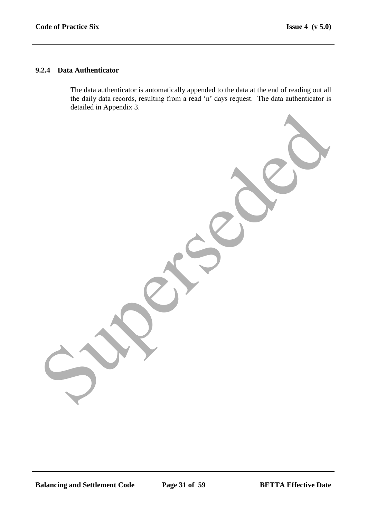#### **9.2.4 Data Authenticator**

The data authenticator is automatically appended to the data at the end of reading out all the daily data records, resulting from a read "n" days request. The data authenticator is detailed in Appendix 3. Superseded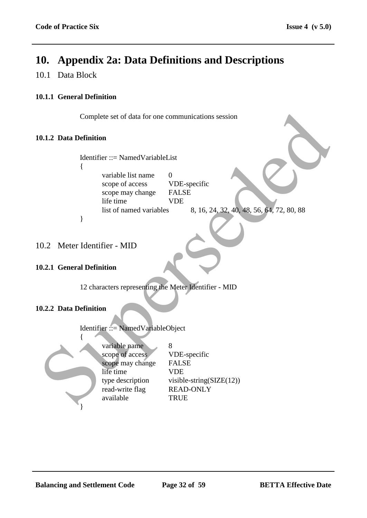# **10. Appendix 2a: Data Definitions and Descriptions**

## 10.1 Data Block

### **10.1.1 General Definition**

Complete set of data for one communications session

#### **10.1.2 Data Definition**

# Identifier ::= NamedVariableList

{

variable list name 0 scope of access VDE-specific scope may change FALSE life time VDE

list of named variables 8, 16, 24, 32, 40, 48, 56, 64, 72, 80, 88

# 10.2 Meter Identifier - MID

}

#### **10.2.1 General Definition**

12 characters representing the Meter Identifier - MID

#### **10.2.2 Data Definition**

Identifier ::= NamedVariableObject



variable name 8 scope of access VDE-specific scope may change FALSE life time VDE type description visible-string( $SLE(12)$ ) read-write flag READ-ONLY available TRUE Complete set of data for one communications session<br>
1.1.2 Data Definition<br>
Identifier ::= Named VariableList<br>
(some of access<br>
scope of access<br>
scope of access<br>
inte time<br>
list of named variables<br>
list of named variables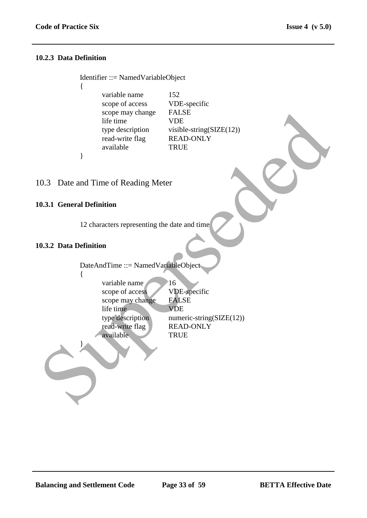#### **10.2.3 Data Definition**

{

}

Identifier ::= NamedVariableObject

variable name 152 scope of access VDE-specific scope may change FALSE life time VDE type description visible-string(SIZE(12)) read-write flag READ-ONLY available TRUE

### 10.3 Date and Time of Reading Meter

#### **10.3.1 General Definition**

12 characters representing the date and time

#### **10.3.2 Data Definition**

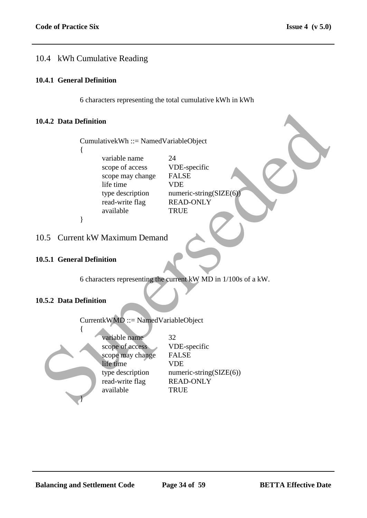# 10.4 kWh Cumulative Reading

#### **10.4.1 General Definition**

6 characters representing the total cumulative kWh in kWh

#### **10.4.2 Data Definition**

CumulativekWh ::= NamedVariableObject

{

variable name 24 scope of access VDE-specific scope may change FALSE life time VDE type description numeric-string(SIZE(6) read-write flag READ-ONLY available TRUE

}

### 10.5 Current kW Maximum Demand

#### **10.5.1 General Definition**

6 characters representing the current kW MD in 1/100s of a kW.

### **10.5.2 Data Definition**

CurrentkWMD ::= NamedVariableObject { variable name 32 scope of access VDE-specific scope may change FALSE life time VDE type description numeric-string(SIZE(6)) read-write flag READ-ONLY available TRUE 0.4.2 Data Definition<br>
Cumulative kWh ::= Named VariableObject<br>
(contrast)<br>
scope of access<br>
scope of access<br>
THE signe are very compared with the contrast of the time<br>
tree description<br>
available<br>
(a) available<br>
(b) a sc }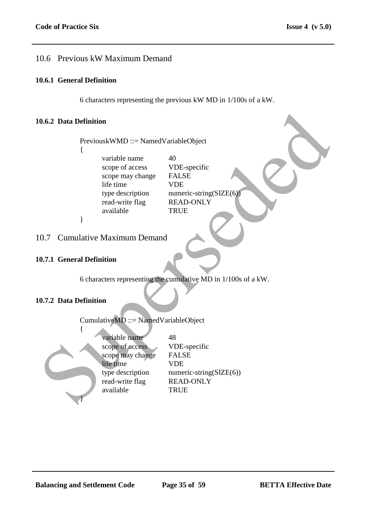# 10.6 Previous kW Maximum Demand

#### **10.6.1 General Definition**

6 characters representing the previous kW MD in 1/100s of a kW.

#### **10.6.2 Data Definition**

PreviouskWMD ::= NamedVariableObject {

> variable name  $40$ scope of access VDE-specific scope may change FALSE life time VDE read-write flag READ-ONLY available TRUE

type description numeric-string(SIZE(6)

# 10.7 Cumulative Maximum Demand

### **10.7.1 General Definition**

}

6 characters representing the cumulative MD in 1/100s of a kW.

### **10.7.2 Data Definition**

CumulativeMD ::= NamedVariableObject { variable name 48 scope of access VDE-specific scope may change FALSE life time VDE type description numeric-string(SIZE(6)) read-write flag READ-ONLY available TRUE 0.6.2 Data Definition<br>
Previous KWMD ::= Named VariableObject<br>
(some of access VDB-specific<br>
scope of access VDB-specific<br>
ifte time<br>
the time<br>
the description<br>
available<br>
2 available<br>
(available READ-ONLY<br>
2 available<br>
1 }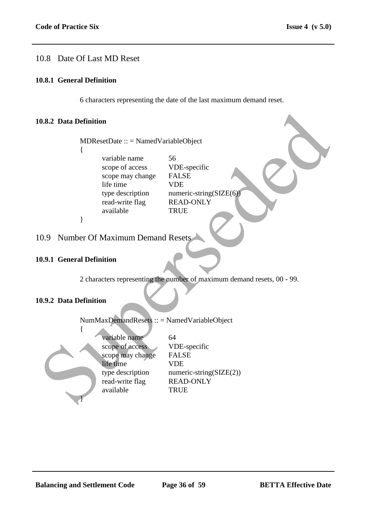# 10.8 Date Of Last MD Reset

#### **10.8.1 General Definition**

6 characters representing the date of the last maximum demand reset.

#### **10.8.2 Data Definition**

#### **10.9.1 General Definition**

#### **10.9.2 Data Definition**

|     | 0.8.2 Data Definition                                                                                                 |                                                                                                                    |
|-----|-----------------------------------------------------------------------------------------------------------------------|--------------------------------------------------------------------------------------------------------------------|
|     | $MDResetDate :: = NamedVariableObject$<br>ł                                                                           |                                                                                                                    |
|     | variable name<br>scope of access<br>scope may change<br>life time<br>type description<br>read-write flag<br>available | 56<br>VDE-specific<br><b>FALSE</b><br><b>VDE</b><br>numeric-string( $SIZE(6)$ )<br><b>READ-ONLY</b><br><b>TRUE</b> |
|     | }                                                                                                                     |                                                                                                                    |
| 0.9 | <b>Number Of Maximum Demand Resets</b>                                                                                |                                                                                                                    |
|     | 0.9.1 General Definition                                                                                              |                                                                                                                    |
|     |                                                                                                                       | 2 characters representing the number of maximum demand resets, 00 - 99.                                            |
|     | 0.9.2 Data Definition                                                                                                 |                                                                                                                    |
|     | NumMaxDemandResets :: = NamedVariableObject                                                                           |                                                                                                                    |
|     | variable name<br>scope of access<br>scope may change<br>life time<br>type description<br>read-write flag<br>available | 64<br>VDE-specific<br><b>FALSE</b><br><b>VDE</b><br>numeric-string( $SLE(2)$ )<br><b>READ-ONLY</b><br><b>TRUE</b>  |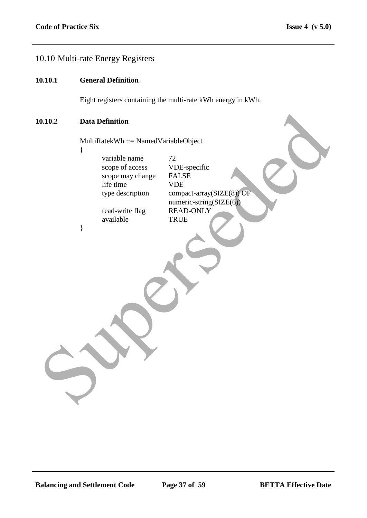# 10.10 Multi-rate Energy Registers

#### **10.10.1 General Definition**

Eight registers containing the multi-rate kWh energy in kWh.

numeric-string(SIZE(6))

#### **10.10.2 Data Definition**

{

}

MultiRatekWh ::= NamedVariableObject

variable name 72<br>scope of access 7DE-specific scope of access VDE-sp<br>scope may change FALSE scope may change life time VDE type description compact-array(SIZE(8)) OF **Data Definition**<br>
MultiRatekWh ::= NamedVariableObject<br>
( $\frac{1}{\text{variable name}}$  and  $\frac{1}{\text{2}}$ <br>
scope of access<br>
ifte time<br>
the time<br>
type description<br>  $\frac{1}{\text{varivative flag}}$  and  $\frac{1}{\text{varivative f}}$ <br>  $\frac{1}{\text{varivative f}}$ <br>  $\frac{1}{\text{varivative f}}$ <br>  $\frac{1}{\$ 

read-write flag READ-ONLY available TRUE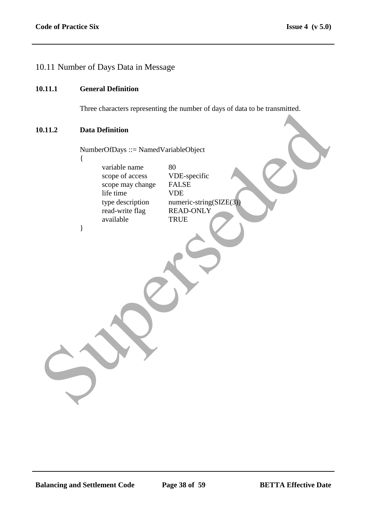# 10.11 Number of Days Data in Message

#### **10.11.1 General Definition**

Three characters representing the number of days of data to be transmitted.

#### **10.11.2 Data Definition**

{

}

NumberOfDays ::= NamedVariableObject

variable name 80<br>scope of access VDE-specific scope of access scope may change FALSE life time VDE<br>type description nume read-write flag READ-ONLY available TRUE 0.11.2 Data Definition<br>
NumberOfDays ::= Named VariableObject<br>
variable name<br>
scope may change<br>
scope may change<br>
scope may change<br>
FALSE<br>
life time<br>
read write than<br>
the NAD-ONLY<br>
available<br>
TRUE<br>
(TRUE

numeric-string( $SLZE(3)$ )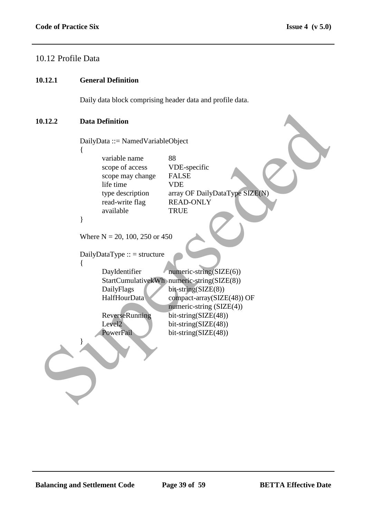### 10.12 Profile Data

#### **10.12.1 General Definition**

Daily data block comprising header data and profile data.

#### **10.12.2 Data Definition**

```
DailyData ::= NamedVariableObject
             {
                    variable name 88
                    scope of access VDE-specific
                    scope may change FALSE
                    life time VDE
                    type description array OF DailyDataType SIZE(N)
                    read-write flag READ-ONLY
                    available TRUE
             }
             Where N = 20, 100, 250 or 450
             DailyDataType :: = structure
             \left\{ \right.DayIdentifier numeric-string(SIZE(6))
                    StartCumulativekWh numeric-string(SIZE(8))
                    DailyFlags bit-string(SIZE(8))
                    HalfHourData compact-array(SIZE(48)) OF
                                           numeric-string (SIZE(4))
                    ReverseRunning bit-string(SIZE(48))
                    Level2 bit-string(SIZE(48))
                    PowerFail bit-string(SIZE(48))
             }
Data Definition<br>
Data Definition<br>
Cariy and Mariable Object<br>
(Cariy and Supersede and Supersede and Supersede and Supersede and Supersede and Supersede and Supersede and Supersede and Supersede and Supersede and Superse
```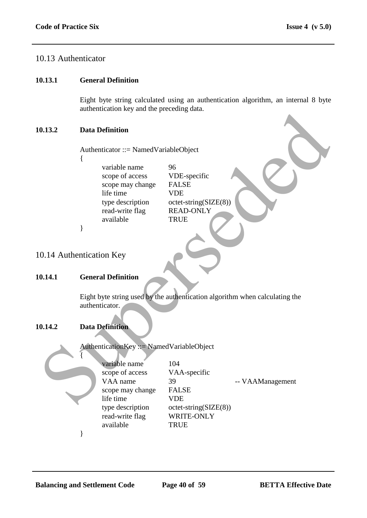### 10.13 Authenticator

#### **10.13.1 General Definition**

Eight byte string calculated using an authentication algorithm, an internal 8 byte authentication key and the preceding data.

#### **10.13.2 Data Definition**

- {
- variable name 96 scope of access VDE-specific scope may change FALSE life time VDE type description octet-string(SIZE(8)) read-write flag READ-ONLY available TRUE

# 10.14 Authentication Key

#### **10.14.1 General Definition**

### **10.14.2 Data Definition**

|        | $\frac{1}{2}$ and $\frac{1}{2}$ and the preceding data.                                                                           |                                                                                                                                            |
|--------|-----------------------------------------------------------------------------------------------------------------------------------|--------------------------------------------------------------------------------------------------------------------------------------------|
| 0.13.2 | <b>Data Definition</b>                                                                                                            |                                                                                                                                            |
|        | Authenticator ::= NamedVariableObject                                                                                             |                                                                                                                                            |
|        | variable name<br>scope of access<br>scope may change<br>life time<br>type description<br>read-write flag<br>available             | 96<br>VDE-specific<br><b>FALSE</b><br><b>VDE</b><br>$octet\text{-string}(SIZE(8))$<br><b>READ-ONLY</b><br><b>TRUE</b>                      |
|        | }                                                                                                                                 |                                                                                                                                            |
|        | 0.14 Authentication Key                                                                                                           |                                                                                                                                            |
| 0.14.1 | <b>General Definition</b>                                                                                                         |                                                                                                                                            |
| 0.14.2 | authenticator.<br><b>Data Definition</b>                                                                                          | Eight byte string used by the authentication algorithm when calculating the                                                                |
|        | AuthenticationKey ::= NamedVariableObject                                                                                         |                                                                                                                                            |
|        | variable name<br>scope of access<br>VAA name<br>scope may change<br>life time<br>type description<br>read-write flag<br>available | 104<br>VAA-specific<br>39<br>-- VAAManagement<br><b>FALSE</b><br><b>VDE</b><br>$octet\text{-string}(SIZE(8))$<br>WRITE-ONLY<br><b>TRUE</b> |
|        |                                                                                                                                   |                                                                                                                                            |

}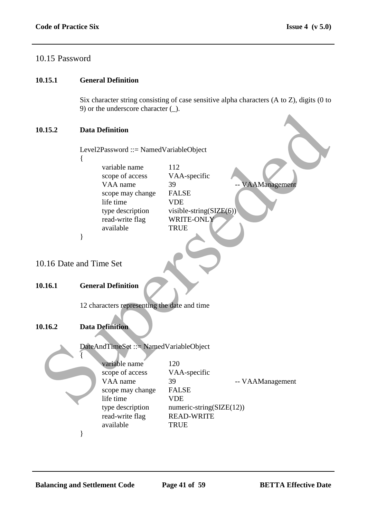## 10.15 Password

#### **10.15.1 General Definition**

Six character string consisting of case sensitive alpha characters (A to Z), digits (0 to 9) or the underscore character (\_).

#### **10.15.2 Data Definition**

|                        |   | $\sim$ ) of the underscore enargement ( $\sim$ ). |                             |                  |
|------------------------|---|---------------------------------------------------|-----------------------------|------------------|
| 0.15.2                 |   | <b>Data Definition</b>                            |                             |                  |
|                        |   | Level2Password ::= NamedVariableObject            |                             |                  |
|                        | ₹ |                                                   |                             |                  |
|                        |   | variable name                                     | 112                         |                  |
|                        |   | scope of access                                   | VAA-specific                |                  |
|                        |   | VAA name                                          | 39                          | -- VAAManagement |
|                        |   | scope may change<br>life time                     | <b>FALSE</b><br><b>VDE</b>  |                  |
|                        |   | type description                                  | visible-string( $SIZE(6)$ ) |                  |
|                        |   | read-write flag                                   | WRITE-ONLY                  |                  |
|                        |   | available                                         | <b>TRUE</b>                 |                  |
|                        | ∤ |                                                   |                             |                  |
|                        |   |                                                   |                             |                  |
|                        |   |                                                   |                             |                  |
| 0.16 Date and Time Set |   |                                                   |                             |                  |
|                        |   |                                                   |                             |                  |
| 0.16.1                 |   | <b>General Definition</b>                         |                             |                  |
|                        |   |                                                   |                             |                  |
|                        |   | 12 characters representing the date and time      |                             |                  |
|                        |   |                                                   |                             |                  |
|                        |   |                                                   |                             |                  |
| 0.16.2                 |   | <b>Data Definition</b>                            |                             |                  |
|                        |   |                                                   |                             |                  |
|                        |   | DateAndTimeSet ::= NamedVariableObject            |                             |                  |
|                        |   | variable name                                     | 120                         |                  |
|                        |   | scope of access                                   | VAA-specific                |                  |
|                        |   | VAA name                                          | 39                          | -- VAAManagement |
|                        |   | scope may change                                  | <b>FALSE</b>                |                  |
|                        |   | life time                                         | <b>VDE</b>                  |                  |
|                        |   |                                                   |                             |                  |

#### **10.16.1 General Definition**

### **10.16.2 Data Definition**



| variable name    | 120                      |                  |
|------------------|--------------------------|------------------|
| scope of access  | VAA-specific             |                  |
| VAA name         | 39                       | -- VAAManagement |
| scope may change | <b>FALSE</b>             |                  |
| life time        | VDE                      |                  |
| type description | numeric-string(SIZE(12)) |                  |
| read-write flag  | <b>READ-WRITE</b>        |                  |
| available        | <b>TRUE</b>              |                  |
|                  |                          |                  |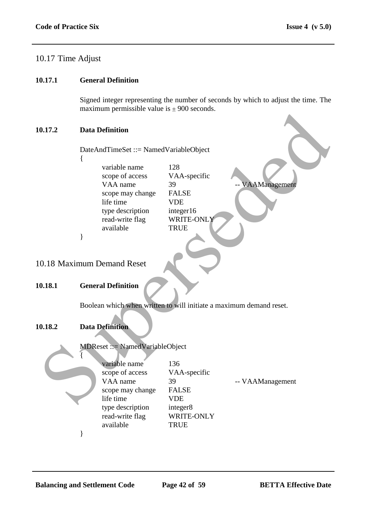# 10.17 Time Adjust

#### **10.17.1 General Definition**

Signed integer representing the number of seconds by which to adjust the time. The maximum permissible value is  $\pm 900$  seconds.

#### **10.17.2 Data Definition**

- {
- variable name 128 scope of access VAA-specific VAA name 39 -- VAAManagement scope may change FALSE life time VDE type description integer16 read-write flag WRITE-ONLY available TRUE

# 10.18 Maximum Demand Reset

#### **10.18.1 General Definition**

### **10.18.2 Data Definition**



| <b>Data Definition</b>                                                                                                                 |                                                                                                   |                                                                                                                                                                                                                                          |
|----------------------------------------------------------------------------------------------------------------------------------------|---------------------------------------------------------------------------------------------------|------------------------------------------------------------------------------------------------------------------------------------------------------------------------------------------------------------------------------------------|
|                                                                                                                                        |                                                                                                   |                                                                                                                                                                                                                                          |
| variable name<br>scope of access<br>VAA name<br>scope may change<br>life time<br>type description<br>read-write flag<br>available<br>∤ | 128<br>VAA-specific<br>39<br><b>FALSE</b><br><b>VDE</b><br>integer16<br>WRITE-ONLY<br><b>TRUE</b> | VAAManagement                                                                                                                                                                                                                            |
|                                                                                                                                        |                                                                                                   |                                                                                                                                                                                                                                          |
| <b>General Definition</b>                                                                                                              |                                                                                                   |                                                                                                                                                                                                                                          |
| <b>Data Definition</b>                                                                                                                 |                                                                                                   |                                                                                                                                                                                                                                          |
|                                                                                                                                        |                                                                                                   |                                                                                                                                                                                                                                          |
| variable name<br>scope of access<br>VAA name<br>scope may change<br>life time<br>type description<br>read-write flag<br>available      | 136<br>VAA-specific<br>39<br><b>FALSE</b><br><b>VDE</b><br>integer8<br>WRITE-ONLY<br><b>TRUE</b>  | -- VAAManagement                                                                                                                                                                                                                         |
|                                                                                                                                        | 0.18 Maximum Demand Reset                                                                         | $max$ $min$ $min$ $sum$ $sum$ $sum$ $sum$ $sum$ $sum$ $sum$ $sum$ $sum$ $sum$<br>DateAndTimeSet ::= NamedVariableObject<br>Boolean which when written to will initiate a maximum demand reset.<br><b>MDReset ::= NamedVariableObject</b> |

}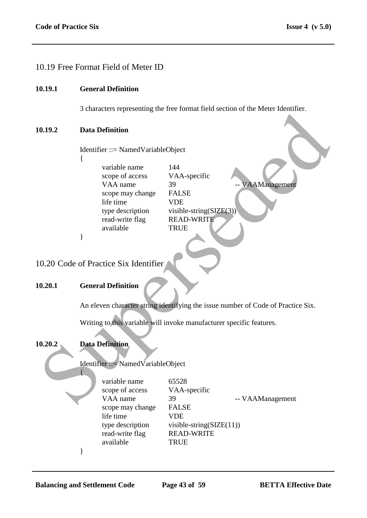### 10.19 Free Format Field of Meter ID

#### **10.19.1 General Definition**

3 characters representing the free format field section of the Meter Identifier.

#### **10.19.2 Data Definition**

{

}

Identifier ::= NamedVariableObject

variable name 144 scope of access VAA-specific VAA name 39 -- VAAManagement scope may change FALSE life time VDE type description visible-string(SIZE(3)) read-write flag READ-WRITE available TRUE 0.19.2<br>
Data Definition<br>
Identifier ::= Named VariableObject<br>
(variable name<br>
scope may change<br>
Super description<br>
We are supersed with the straig CSE/EG3)<br>
If the time<br>
available<br>
19.20.2 Code of Practice Six Identifier<br>

10.20 Code of Practice Six Identifier

#### **10.20.1 General Definition**

An eleven character string identifying the issue number of Code of Practice Six.

Writing to this variable will invoke manufacturer specific features.

#### **10.20.2 Data Definition**

{

Identifier ::= NamedVariableObject

variable name 65528 scope of access VAA-specific scope may change FALSE life time VDE read-write flag READ-WRITE available TRUE

VAA name 39 -- VAAManagement type description visible-string(SIZE(11))

}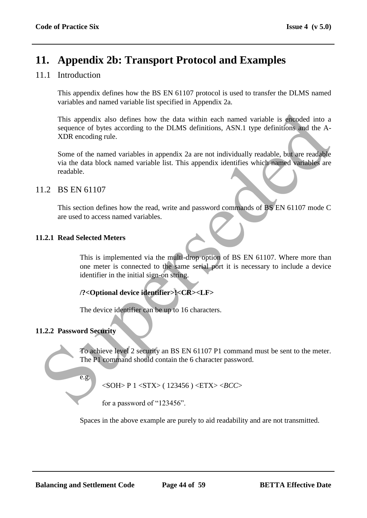# **11. Appendix 2b: Transport Protocol and Examples**

# 11.1 Introduction

This appendix defines how the BS EN 61107 protocol is used to transfer the DLMS named variables and named variable list specified in Appendix 2a.

This appendix also defines how the data within each named variable is encoded into a sequence of bytes according to the DLMS definitions, ASN.1 type definitions and the A-XDR encoding rule. This appendix also defines how the data within each named variable is encoded into a<br>sequence of hypes according to the DLMS definitions, ASN.1 type definitions, and the A-<br>SUPE encoding rule.<br>Super-<br>of the named variable

Some of the named variables in appendix 2a are not individually readable, but are readable via the data block named variable list. This appendix identifies which named variables are readable.

### 11.2 BS EN 61107

This section defines how the read, write and password commands of BS EN 61107 mode C are used to access named variables.

### **11.2.1 Read Selected Meters**

This is implemented via the multi-drop option of BS EN 61107. Where more than one meter is connected to the same serial port it is necessary to include a device identifier in the initial sign-on string.

# **/?<Optional device identifier>!<CR><LF>**

The device identifier can be up to 16 characters.

### **11.2.2 Password Security**

To achieve level 2 security an BS EN 61107 P1 command must be sent to the meter. The P1 command should contain the 6 character password.

e.g.

<SOH> P 1 <STX> ( 123456 ) <ETX> <*BCC*>

for a password of "123456".

Spaces in the above example are purely to aid readability and are not transmitted.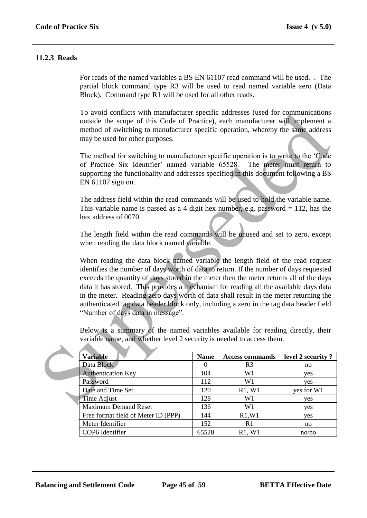#### **11.2.3 Reads**

For reads of the named variables a BS EN 61107 read command will be used. . The partial block command type R3 will be used to read named variable zero (Data Block). Command type R1 will be used for all other reads.

To avoid conflicts with manufacturer specific addresses (used for communications outside the scope of this Code of Practice), each manufacturer will implement a method of switching to manufacturer specific operation, whereby the same address may be used for other purposes.

The method for switching to manufacturer specific operation is to write to the "Code of Practice Six Identifier" named variable 65528. The meter must return to supporting the functionality and addresses specified in this document following a BS EN 61107 sign on.

The address field within the read commands will be used to hold the variable name. This variable name is passed as a 4 digit hex number, e.g. password  $= 112$ , has the hex address of 0070.

The length field within the read commands will be unused and set to zero, except when reading the data block named variable.

When reading the data block named variable the length field of the read request identifies the number of days worth of data to return. If the number of days requested exceeds the quantity of days stored in the meter then the meter returns all of the days data it has stored. This provides a mechanism for reading all the available days data in the meter. Reading zero days worth of data shall result in the meter returning the authenticated tag data header block only, including a zero in the tag data header field "Number of days data in message". To avoid contrits with manufacturer specific addresses (used for communications<br>nuiside the scope of this Code of Practice), each manufacturer wijl implement a<br>method of switching to manufacturer specific operation, where

Below is a summary of the named variables available for reading directly, their variable name, and whether level 2 security is needed to access them.

| <b>Variable</b>                     | <b>Name</b> | <b>Access commands</b> | level 2 security? |
|-------------------------------------|-------------|------------------------|-------------------|
| Data Block                          | $\theta$    | R <sub>3</sub>         | no                |
| <b>Authentication Key</b>           | 104         | W1                     | yes               |
| Password                            | 112         | W1                     | yes               |
| Date and Time Set                   | 120         | R1, W1                 | yes for W1        |
| Time Adjust                         | 128         | W1                     | yes               |
| <b>Maximum Demand Reset</b>         | 136         | W1                     | yes               |
| Free format field of Meter ID (PPP) | 144         | R1, W1                 | yes               |
| Meter Identifier                    | 152         | R <sub>1</sub>         | no                |
| COP6 Identifier                     | 65528       | R1, W1                 | no/no             |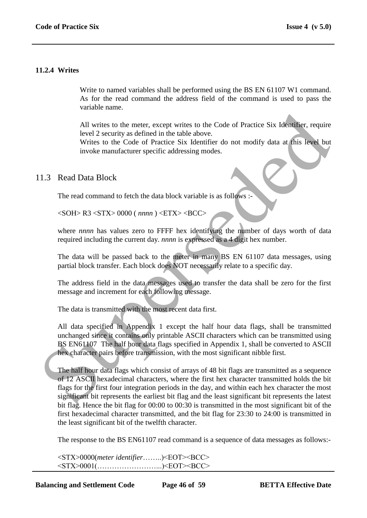#### **11.2.4 Writes**

Write to named variables shall be performed using the BS EN 61107 W1 command. As for the read command the address field of the command is used to pass the variable name.

All writes to the meter, except writes to the Code of Practice Six Identifier, require level 2 security as defined in the table above.

Writes to the Code of Practice Six Identifier do not modify data at this level but invoke manufacturer specific addressing modes.

#### 11.3 Read Data Block

The read command to fetch the data block variable is as follows :-

<SOH> R3 <STX> 0000 ( *nnnn* ) <ETX> <BCC>

where *nnnn* has values zero to FFFF hex identifying the number of days worth of data required including the current day. *nnnn* is expressed as a 4 digit hex number.

The data will be passed back to the meter in many BS EN 61107 data messages, using partial block transfer. Each block does NOT necessarily relate to a specific day.

The address field in the data messages used to transfer the data shall be zero for the first message and increment for each following message.

The data is transmitted with the most recent data first.

All data specified in Appendix 1 except the half hour data flags, shall be transmitted unchanged since it contains only printable ASCII characters which can be transmitted using BS EN61107 The half hour data flags specified in Appendix 1, shall be converted to ASCII hex character pairs before transmission, with the most significant nibble first.

The half hour data flags which consist of arrays of 48 bit flags are transmitted as a sequence of 12 ASCII hexadecimal characters, where the first hex character transmitted holds the bit flags for the first four integration periods in the day, and within each hex character the most significant bit represents the earliest bit flag and the least significant bit represents the latest bit flag. Hence the bit flag for 00:00 to 00:30 is transmitted in the most significant bit of the first hexadecimal character transmitted, and the bit flag for 23:30 to 24:00 is transmitted in the least significant bit of the twelfth character. All writes to the meter, except writes to the Code of Practice Six Identifier, require<br>
level 2 security as defined in the table above.<br>
Writes to the Code of Practice Six Identifier do not modify data at fluis level but<br>

The response to the BS EN61107 read command is a sequence of data messages as follows:-

<STX>0000(*meter identifier*……..)<EOT><BCC> <STX>0001(……………………...)<EOT><BCC>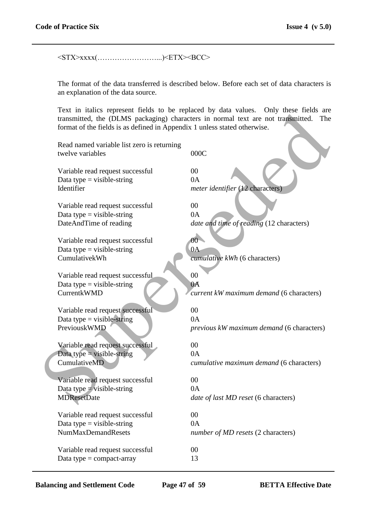<STX>xxxx(……………………...)<ETX><BCC>

The format of the data transferred is described below. Before each set of data characters is an explanation of the data source.

Text in italics represent fields to be replaced by data values. Only these fields are transmitted, the (DLMS packaging) characters in normal text are not transmitted. The format of the fields is as defined in Appendix 1 unless stated otherwise.

| format of the fields is as defined in Appendix 1 unless stated otherwise. | Fext in nancs represent fields to be replaced by data values. Only these fields are<br>transmitted, the (DLMS packaging) characters in normal text are not transmitted.<br>The |
|---------------------------------------------------------------------------|--------------------------------------------------------------------------------------------------------------------------------------------------------------------------------|
| Read named variable list zero is returning<br>twelve variables            | 000C                                                                                                                                                                           |
| Variable read request successful                                          | 00                                                                                                                                                                             |
| Data type = visible-string                                                | 0A                                                                                                                                                                             |
| Identifier                                                                | meter identifier (12 characters)                                                                                                                                               |
| Variable read request successful                                          | 00                                                                                                                                                                             |
| Data type $=$ visible-string                                              | 0A                                                                                                                                                                             |
| DateAndTime of reading                                                    | date and time of reading (12 characters)                                                                                                                                       |
| Variable read request successful                                          | 00 <sup>1</sup>                                                                                                                                                                |
| Data type $=$ visible-string                                              | 0A                                                                                                                                                                             |
| CumulativekWh                                                             | cumulative kWh (6 characters)                                                                                                                                                  |
| Variable read request successful                                          | 00                                                                                                                                                                             |
| Data type $=$ visible-string                                              | 0A                                                                                                                                                                             |
| <b>CurrentkWMD</b>                                                        | current kW maximum demand (6 characters)                                                                                                                                       |
| Variable read request successful                                          | 00                                                                                                                                                                             |
| Data type = visible-string                                                | 0A                                                                                                                                                                             |
| PreviouskWMD                                                              | previous kW maximum demand (6 characters)                                                                                                                                      |
| Variable read request successful                                          | 00                                                                                                                                                                             |
| Data type = visible-string                                                | 0A                                                                                                                                                                             |
| CumulativeMD                                                              | cumulative maximum demand (6 characters)                                                                                                                                       |
| Variable read request successful                                          | 00                                                                                                                                                                             |
| Data type $=$ visible-string                                              | 0A                                                                                                                                                                             |
| <b>MDResetDate</b>                                                        | date of last MD reset (6 characters)                                                                                                                                           |
| Variable read request successful                                          | $00\,$                                                                                                                                                                         |
| Data type $=$ visible-string                                              | 0A                                                                                                                                                                             |
| <b>NumMaxDemandResets</b>                                                 | number of MD resets (2 characters)                                                                                                                                             |
| Variable read request successful                                          | 00                                                                                                                                                                             |
| Data type = $compact$ -array                                              | 13                                                                                                                                                                             |

**Balancing and Settlement Code Page 47 of 59 BETTA Effective Date**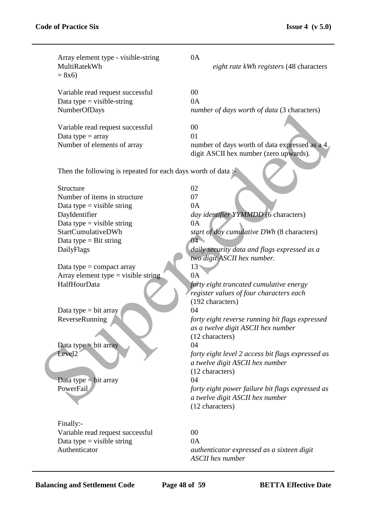| Array element type - visible-string<br>MultiRatekWh<br>$= 8x6$                                                                                                                                                                                                                                                                                                                                                       | 0A<br>eight rate kWh registers (48 characters                                                                                                                                                                                                                                                                                                                                                                                                                                                                                                                                                                                                                                   |
|----------------------------------------------------------------------------------------------------------------------------------------------------------------------------------------------------------------------------------------------------------------------------------------------------------------------------------------------------------------------------------------------------------------------|---------------------------------------------------------------------------------------------------------------------------------------------------------------------------------------------------------------------------------------------------------------------------------------------------------------------------------------------------------------------------------------------------------------------------------------------------------------------------------------------------------------------------------------------------------------------------------------------------------------------------------------------------------------------------------|
| Variable read request successful<br>Data type $=$ visible-string<br>NumberOfDays                                                                                                                                                                                                                                                                                                                                     | 00<br>0A<br>number of days worth of data (3 characters)                                                                                                                                                                                                                                                                                                                                                                                                                                                                                                                                                                                                                         |
| Variable read request successful<br>Data type $=$ array<br>Number of elements of array                                                                                                                                                                                                                                                                                                                               | 00<br>01<br>number of days worth of data expressed as a 4<br>digit ASCII hex number (zero upwards).                                                                                                                                                                                                                                                                                                                                                                                                                                                                                                                                                                             |
| Then the following is repeated for each days worth of data:                                                                                                                                                                                                                                                                                                                                                          |                                                                                                                                                                                                                                                                                                                                                                                                                                                                                                                                                                                                                                                                                 |
| Structure<br>Number of items in structure<br>Data type = visible string<br>DayIdentifier<br>Data type = visible string<br>StartCumulativeDWh<br>Data type $=$ Bit string<br>DailyFlags<br>Data type $=$ compact array<br>Array element type $=$ visible string<br>HalfHourData<br>Data type $=$ bit array<br>ReverseRunning<br>Data type $=$ bit array<br>Level <sub>2</sub><br>Data type $=$ bit array<br>PowerFail | 02<br>07<br>0A<br>day identifier YYMMDD (6 characters)<br>0A<br>start of day cumulative DWh (8 characters)<br>$04 -$<br>daily security data and flags expressed as a<br>two digit ASCII hex number.<br>$13*$<br>0A<br>forty eight truncated cumulative energy<br>register values of four characters each<br>(192 characters)<br>04<br>forty eight reverse running bit flags expressed<br>as a twelve digit ASCII hex number<br>(12 characters)<br>04<br>forty eight level 2 access bit flags expressed as<br>a twelve digit ASCII hex number<br>(12 characters)<br>04<br>forty eight power failure bit flags expressed as<br>a twelve digit ASCII hex number<br>(12 characters) |
| Finally:-<br>Variable read request successful<br>Data type = visible string<br>Authenticator                                                                                                                                                                                                                                                                                                                         | 00<br>0A<br>authenticator expressed as a sixteen digit<br><b>ASCII</b> hex number                                                                                                                                                                                                                                                                                                                                                                                                                                                                                                                                                                                               |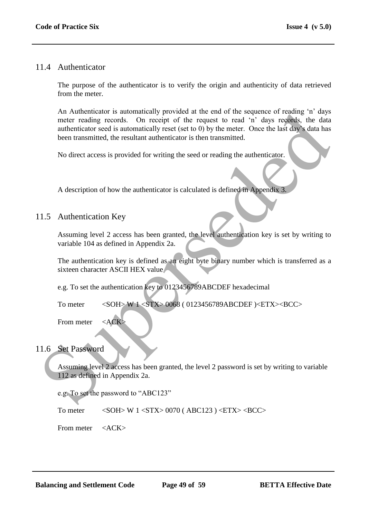### 11.4 Authenticator

The purpose of the authenticator is to verify the origin and authenticity of data retrieved from the meter.

An Authenticator is automatically provided at the end of the sequence of reading "n" days meter reading records. On receipt of the request to read "n" days records, the data authenticator seed is automatically reset (set to 0) by the meter. Once the last day"s data has been transmitted, the resultant authenticator is then transmitted. A Authentichator is automatically provided at the end of the sequence of reading in a<br>meter reading records. On receipt of the request to each individual the<br>meter reading records automatically rest (set to 0) by the mete

No direct access is provided for writing the seed or reading the authenticator.

A description of how the authenticator is calculated is defined in Appendix 3.

### 11.5 Authentication Key

Assuming level 2 access has been granted, the level authentication key is set by writing to variable 104 as defined in Appendix 2a.

The authentication key is defined as an eight byte binary number which is transferred as a sixteen character ASCII HEX value

e.g. To set the authentication key to 0123456789ABCDEF hexadecimal

To meter <SOH> W 1 <STX> 0068 ( 0123456789ABCDEF )<ETX><BCC>

From meter  $\langle ACK \rangle$ 

### 11.6 Set Password

Assuming level 2 access has been granted, the level 2 password is set by writing to variable 112 as defined in Appendix 2a.

e.g. To set the password to "ABC123"

To meter  $\langle \text{SOH} \rangle$  W 1  $\langle \text{STX} \rangle$  0070 (ABC123)  $\langle \text{ETX} \rangle$  <BCC>

From meter <ACK>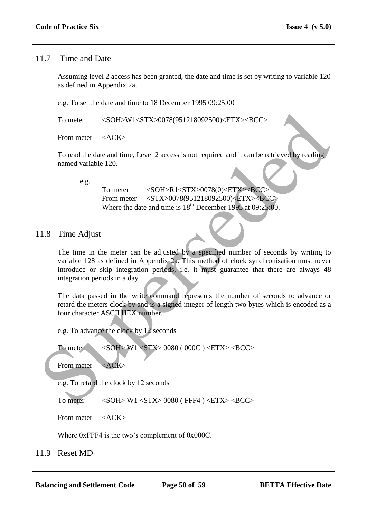### 11.7 Time and Date

Assuming level 2 access has been granted, the date and time is set by writing to variable 120 as defined in Appendix 2a.

e.g. To set the date and time to 18 December 1995 09:25:00

To meter <SOH>W1<STX>0078(951218092500)<ETX><BCC>

From meter <ACK>

To read the date and time, Level 2 access is not required and it can be retrieved by reading named variable 120.

e.g.

To meter <SOH>R1<STX>0078(0)<ETX><BCC> From meter <STX>0078(951218092500)<ETX><BCC> Where the date and time is  $18^{th}$  December 1995 at 09:25:00.

# 11.8 Time Adjust

The time in the meter can be adjusted by a specified number of seconds by writing to variable 128 as defined in Appendix 2a. This method of clock synchronisation must never introduce or skip integration periods, i.e. it must guarantee that there are always 48 integration periods in a day. To meter <br>  $\le$  SOH-W1-STX-0078(951218092500)-ETX--BCC><br>
From meter  $\le$  ACK><br>
To read the date and time, Level 2 access is not required and it can be retrieved by reading<br>
named variable 120.<br>  $\therefore$ <br>  $\therefore$ <br>
To meter  $\le$ 

The data passed in the write command represents the number of seconds to advance or retard the meters clock by and is a signed integer of length two bytes which is encoded as a four character ASCII HEX number.

e.g. To advance the clock by 12 seconds

To meter <SOH> W1 <STX> 0080 ( 000C ) <ETX> <BCC>

From meter <ACK>

e.g. To retard the clock by 12 seconds

To meter <SOH> W1 <STX> 0080 (FFF4 ) <ETX> <BCC>

From meter <ACK>

Where 0xFFF4 is the two's complement of 0x000C.

11.9 Reset MD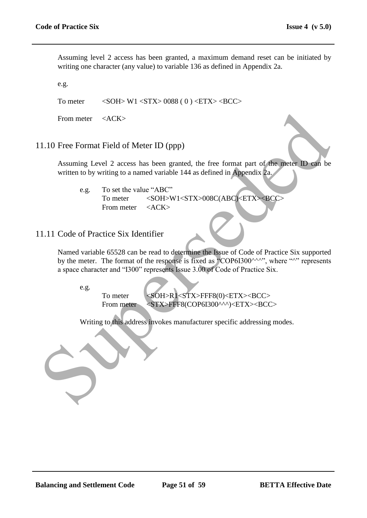Assuming level 2 access has been granted, a maximum demand reset can be initiated by writing one character (any value) to variable 136 as defined in Appendix 2a.

e.g.

To meter  $\langle \text{SOH} \rangle$  W1  $\langle \text{STX} \rangle$  0088 ( 0 )  $\langle \text{ETX} \rangle$  <BCC>

From meter <ACK>

#### 11.10 Free Format Field of Meter ID (ppp)

Assuming Level 2 access has been granted, the free format part of the meter ID can be written to by writing to a named variable 144 as defined in Appendix 2a.

e.g. To set the value "ABC" To meter <SOH>W1<STX>008C(ABC)<ETX><BCC> From meter <ACK>

# 11.11 Code of Practice Six Identifier

Named variable 65528 can be read to determine the Issue of Code of Practice Six supported by the meter. The format of the response is fixed as "COP6I300^^^", where "^" represents a space character and "I300" represents Issue 3.00 of Code of Practice Six. From meter cacks<br>
1.10 Free Format Field of Meter ID (ppp)<br>
Assuming Level 2 access has been granted, the free format part of the meter ID can be<br>
written to by writing to a named variable 14 as defined in Appendix 24<br>
C<sub></sub>

e.g.

To meter <SOH>R1<STX>FFF8(0)<ETX><BCC> From meter <STX>FFF8(COP6I300^^^)<ETX><BCC>

Writing to this address invokes manufacturer specific addressing modes.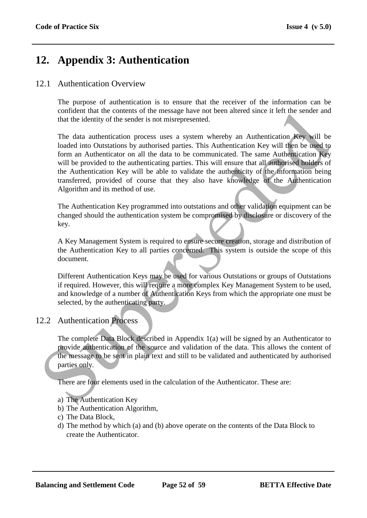# **12. Appendix 3: Authentication**

### 12.1 Authentication Overview

The purpose of authentication is to ensure that the receiver of the information can be confident that the contents of the message have not been altered since it left the sender and that the identity of the sender is not misrepresented.

The data authentication process uses a system whereby an Authentication Key will be loaded into Outstations by authorised parties. This Authentication Key will then be used to form an Authenticator on all the data to be communicated. The same Authentication Key will be provided to the authenticating parties. This will ensure that all authorised holders of the Authentication Key will be able to validate the authenticity of the information being transferred, provided of course that they also have knowledge of the Authentication Algorithm and its method of use. contained the columents of the inessure and other late content that the colume of the measurement of the measurement of the and a multimeterization process uses a system whereby an Authentication Key will be loaded into Ou

The Authentication Key programmed into outstations and other validation equipment can be changed should the authentication system be compromised by disclosure or discovery of the key.

A Key Management System is required to ensure secure creation, storage and distribution of the Authentication Key to all parties concerned. This system is outside the scope of this document.

Different Authentication Keys may be used for various Outstations or groups of Outstations if required. However, this will require a more complex Key Management System to be used, and knowledge of a number of Authentication Keys from which the appropriate one must be selected, by the authenticating party.

# 12.2 Authentication Process

The complete Data Block described in Appendix 1(a) will be signed by an Authenticator to provide authentication of the source and validation of the data. This allows the content of the message to be sent in plain text and still to be validated and authenticated by authorised parties only.

There are four elements used in the calculation of the Authenticator. These are:

- a) The Authentication Key
- b) The Authentication Algorithm,
- c) The Data Block,
- d) The method by which (a) and (b) above operate on the contents of the Data Block to create the Authenticator.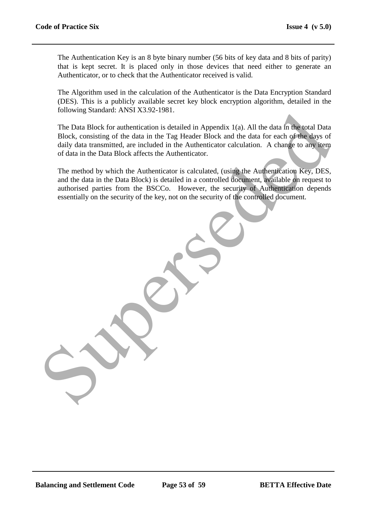The Authentication Key is an 8 byte binary number (56 bits of key data and 8 bits of parity) that is kept secret. It is placed only in those devices that need either to generate an Authenticator, or to check that the Authenticator received is valid.

The Algorithm used in the calculation of the Authenticator is the Data Encryption Standard (DES). This is a publicly available secret key block encryption algorithm, detailed in the following Standard: ANSI X3.92-1981.

The Data Block for authentication is detailed in Appendix 1(a). All the data in the total Data Block, consisting of the data in the Tag Header Block and the data for each of the days of daily data transmitted, are included in the Authenticator calculation. A change to any item of data in the Data Block affects the Authenticator. The Data Block for authentication is detailed in Appendix 1(a). All the data in the total Data<br>Block, consisting of the data in the Tag Header Block and the data for each of the days of<br>dily data transmitted, or included i

The method by which the Authenticator is calculated, (using the Authentication Key, DES, and the data in the Data Block) is detailed in a controlled document, available on request to authorised parties from the BSCCo. However, the security of Authentication depends essentially on the security of the key, not on the security of the controlled document.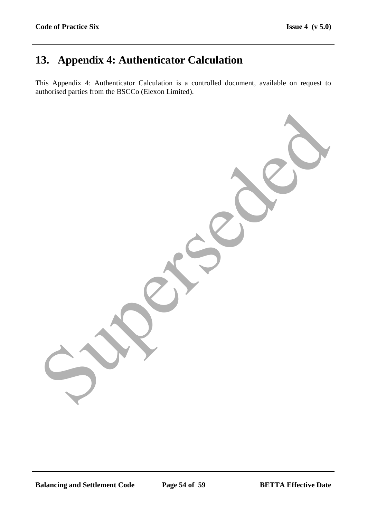# **13. Appendix 4: Authenticator Calculation**

This Appendix 4: Authenticator Calculation is a controlled document, available on request to authorised parties from the BSCCo (Elexon Limited).

Superseded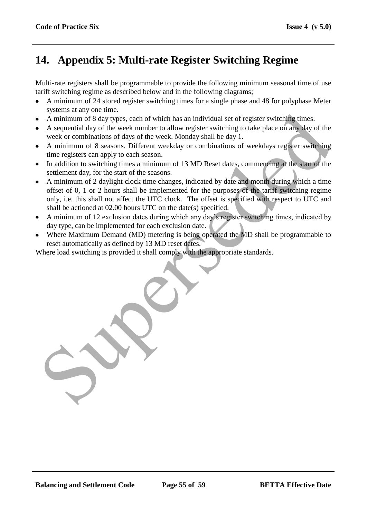# **14. Appendix 5: Multi-rate Register Switching Regime**

Multi-rate registers shall be programmable to provide the following minimum seasonal time of use tariff switching regime as described below and in the following diagrams;

- A minimum of 24 stored register switching times for a single phase and 48 for polyphase Meter systems at any one time.
- A minimum of 8 day types, each of which has an individual set of register switching times.
- A sequential day of the week number to allow register switching to take place on any day of the week or combinations of days of the week. Monday shall be day 1.
- A minimum of 8 seasons. Different weekday or combinations of weekdays register switching time registers can apply to each season.
- In addition to switching times a minimum of 13 MD Reset dates, commencing at the start of the settlement day, for the start of the seasons.
- A minimum of 2 daylight clock time changes, indicated by date and month during which a time offset of 0, 1 or 2 hours shall be implemented for the purposes of the tariff switching regime only, i.e. this shall not affect the UTC clock. The offset is specified with respect to UTC and shall be actioned at 02.00 hours UTC on the date(s) specified. s special and y the weak number of the state of register switching times.<br>A minimum of 8 day types, each of which has an individual set of register switching times.<br>A sequential day of the week number to allow register swi
- A minimum of 12 exclusion dates during which any day's register switching times, indicated by day type, can be implemented for each exclusion date.
- Where Maximum Demand (MD) metering is being operated the MD shall be programmable to reset automatically as defined by 13 MD reset dates.

Where load switching is provided it shall comply with the appropriate standards.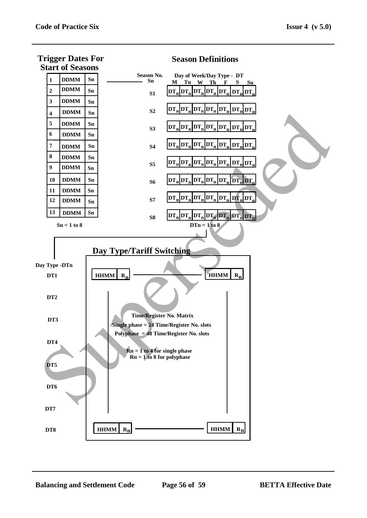

#### **Season Definitions**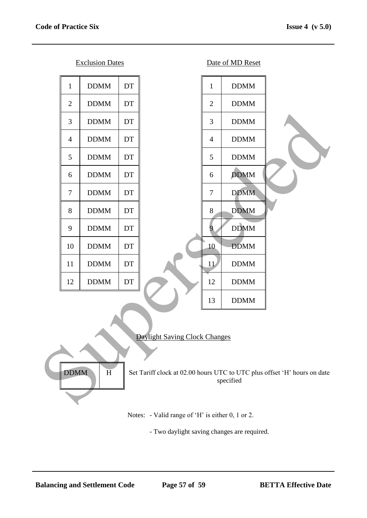Exclusion Dates Date of MD Reset



Notes: - Valid range of 'H' is either 0, 1 or 2.

- Two daylight saving changes are required.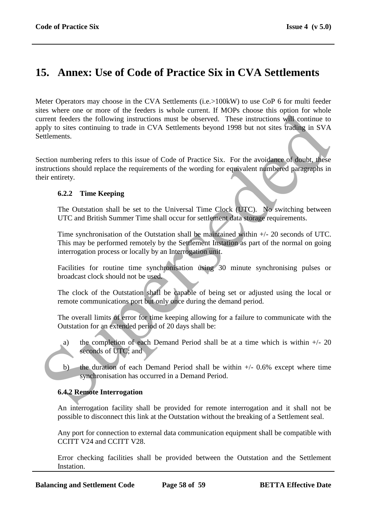# **15. Annex: Use of Code of Practice Six in CVA Settlements**

Meter Operators may choose in the CVA Settlements (i.e.>100kW) to use CoP 6 for multi feeder sites where one or more of the feeders is whole current. If MOPs choose this option for whole current feeders the following instructions must be observed. These instructions will continue to apply to sites continuing to trade in CVA Settlements beyond 1998 but not sites trading in SVA Settlements. So where one of interest of the leasted.<br>
Superior is the solution in such that is a solution of the subseteded in the subseteded in the subseteded of<br>
the anity of the subseteded in CVA Settlements beyond 1998 but not si

Section numbering refers to this issue of Code of Practice Six. For the avoidance of doubt, these instructions should replace the requirements of the wording for equivalent numbered paragraphs in their entirety.

### **6.2.2 Time Keeping**

The Outstation shall be set to the Universal Time Clock (UTC). No switching between UTC and British Summer Time shall occur for settlement data storage requirements.

Time synchronisation of the Outstation shall be maintained within +/- 20 seconds of UTC. This may be performed remotely by the Settlement Instation as part of the normal on going interrogation process or locally by an Interrogation unit.

Facilities for routine time synchronisation using 30 minute synchronising pulses or broadcast clock should not be used.

The clock of the Outstation shall be capable of being set or adjusted using the local or remote communications port but only once during the demand period.

The overall limits of error for time keeping allowing for a failure to communicate with the Outstation for an extended period of 20 days shall be:

- a) the completion of each Demand Period shall be at a time which is within  $+/- 20$ seconds of UTC; and
- b) the duration of each Demand Period shall be within  $+/-$  0.6% except where time synchronisation has occurred in a Demand Period.

# **6.4.2 Remote Interrogation**

An interrogation facility shall be provided for remote interrogation and it shall not be possible to disconnect this link at the Outstation without the breaking of a Settlement seal.

Any port for connection to external data communication equipment shall be compatible with CCITT V24 and CCITT V28.

Error checking facilities shall be provided between the Outstation and the Settlement Instation.